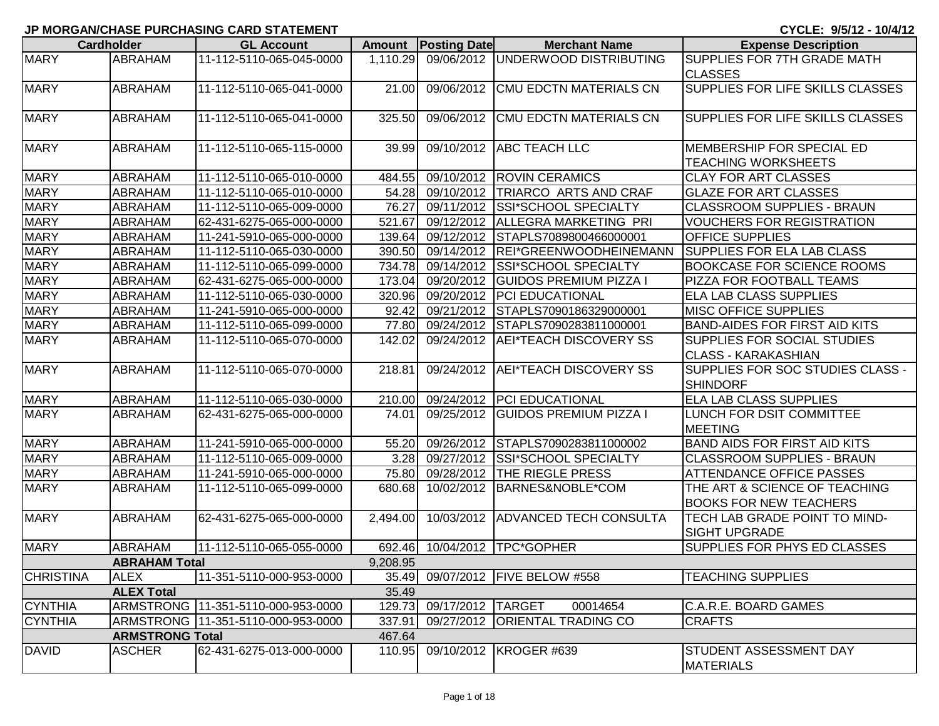## **JP MORGAN/CHASE PURCHASING CARD STATEMENT**

**CYCLE: 9/5/12 - 10/4/12**

|                  | <b>Cardholder</b>      | <b>GL Account</b>                    |          | <b>Amount Posting Date</b> | <b>Merchant Name</b>                       | <b>Expense Description</b>                                       |
|------------------|------------------------|--------------------------------------|----------|----------------------------|--------------------------------------------|------------------------------------------------------------------|
| <b>MARY</b>      | ABRAHAM                | 11-112-5110-065-045-0000             |          |                            | 1,110.29 09/06/2012 UNDERWOOD DISTRIBUTING | SUPPLIES FOR 7TH GRADE MATH<br><b>CLASSES</b>                    |
| <b>MARY</b>      | <b>ABRAHAM</b>         | 11-112-5110-065-041-0000             | 21.00    | 09/06/2012                 | <b>CMU EDCTN MATERIALS CN</b>              | <b>SUPPLIES FOR LIFE SKILLS CLASSES</b>                          |
| <b>MARY</b>      | <b>ABRAHAM</b>         | 11-112-5110-065-041-0000             | 325.50   | 09/06/2012                 | <b>CMU EDCTN MATERIALS CN</b>              | <b>SUPPLIES FOR LIFE SKILLS CLASSES</b>                          |
| <b>MARY</b>      | <b>ABRAHAM</b>         | 11-112-5110-065-115-0000             | 39.99    |                            | 09/10/2012 ABC TEACH LLC                   | MEMBERSHIP FOR SPECIAL ED<br><b>TEACHING WORKSHEETS</b>          |
| <b>MARY</b>      | ABRAHAM                | 11-112-5110-065-010-0000             | 484.55   |                            | 09/10/2012 ROVIN CERAMICS                  | <b>CLAY FOR ART CLASSES</b>                                      |
| <b>MARY</b>      | ABRAHAM                | 11-112-5110-065-010-0000             | 54.28    | 09/10/2012                 | TRIARCO ARTS AND CRAF                      | <b>GLAZE FOR ART CLASSES</b>                                     |
| <b>MARY</b>      | ABRAHAM                | 11-112-5110-065-009-0000             | 76.27    | 09/11/2012                 | SSI*SCHOOL SPECIALTY                       | <b>CLASSROOM SUPPLIES - BRAUN</b>                                |
| <b>MARY</b>      | ABRAHAM                | 62-431-6275-065-000-0000             | 521.67   | 09/12/2012                 | ALLEGRA MARKETING PRI                      | <b>VOUCHERS FOR REGISTRATION</b>                                 |
| <b>MARY</b>      | <b>ABRAHAM</b>         | 11-241-5910-065-000-0000             | 139.64   | 09/12/2012                 | STAPLS7089800466000001                     | <b>OFFICE SUPPLIES</b>                                           |
| <b>MARY</b>      | ABRAHAM                | 11-112-5110-065-030-0000             | 390.50   | 09/14/2012                 | REI*GREENWOODHEINEMANN                     | <b>SUPPLIES FOR ELA LAB CLASS</b>                                |
| <b>MARY</b>      | <b>ABRAHAM</b>         | 11-112-5110-065-099-0000             | 734.78   | 09/14/2012                 | <b>SSI*SCHOOL SPECIALTY</b>                | <b>BOOKCASE FOR SCIENCE ROOMS</b>                                |
| <b>MARY</b>      | ABRAHAM                | 62-431-6275-065-000-0000             | 173.04   |                            | 09/20/2012 GUIDOS PREMIUM PIZZA            | PIZZA FOR FOOTBALL TEAMS                                         |
| <b>MARY</b>      | <b>ABRAHAM</b>         | 11-112-5110-065-030-0000             | 320.96   |                            | 09/20/2012 PCI EDUCATIONAL                 | <b>ELA LAB CLASS SUPPLIES</b>                                    |
| <b>MARY</b>      | ABRAHAM                | 11-241-5910-065-000-0000             | 92.42    | 09/21/2012                 | STAPLS7090186329000001                     | <b>MISC OFFICE SUPPLIES</b>                                      |
| <b>MARY</b>      | ABRAHAM                | 11-112-5110-065-099-0000             | 77.80    | 09/24/2012                 | STAPLS7090283811000001                     | <b>BAND-AIDES FOR FIRST AID KITS</b>                             |
| <b>MARY</b>      | ABRAHAM                | 11-112-5110-065-070-0000             | 142.02   | 09/24/2012                 | <b>AEI*TEACH DISCOVERY SS</b>              | <b>SUPPLIES FOR SOCIAL STUDIES</b><br><b>CLASS - KARAKASHIAN</b> |
| <b>MARY</b>      | ABRAHAM                | 11-112-5110-065-070-0000             | 218.81   | 09/24/2012                 | AEI*TEACH DISCOVERY SS                     | SUPPLIES FOR SOC STUDIES CLASS -<br><b>SHINDORF</b>              |
| <b>MARY</b>      | ABRAHAM                | 11-112-5110-065-030-0000             | 210.00   | 09/24/2012                 | <b>PCI EDUCATIONAL</b>                     | <b>ELA LAB CLASS SUPPLIES</b>                                    |
| <b>MARY</b>      | <b>ABRAHAM</b>         | 62-431-6275-065-000-0000             | 74.01    | 09/25/2012                 | <b>GUIDOS PREMIUM PIZZA I</b>              | LUNCH FOR DSIT COMMITTEE<br><b>MEETING</b>                       |
| <b>MARY</b>      | <b>ABRAHAM</b>         | 11-241-5910-065-000-0000             | 55.20    | 09/26/2012                 | STAPLS7090283811000002                     | <b>BAND AIDS FOR FIRST AID KITS</b>                              |
| <b>MARY</b>      | ABRAHAM                | 11-112-5110-065-009-0000             | 3.28     |                            | 09/27/2012 SSI*SCHOOL SPECIALTY            | <b>CLASSROOM SUPPLIES - BRAUN</b>                                |
| <b>MARY</b>      | ABRAHAM                | 11-241-5910-065-000-0000             | 75.80    |                            | 09/28/2012 THE RIEGLE PRESS                | <b>ATTENDANCE OFFICE PASSES</b>                                  |
| <b>MARY</b>      | <b>ABRAHAM</b>         | 11-112-5110-065-099-0000             | 680.68   | 10/02/2012                 | BARNES&NOBLE*COM                           | THE ART & SCIENCE OF TEACHING<br><b>BOOKS FOR NEW TEACHERS</b>   |
| <b>MARY</b>      | ABRAHAM                | 62-431-6275-065-000-0000             | 2,494.00 |                            | 10/03/2012 ADVANCED TECH CONSULTA          | TECH LAB GRADE POINT TO MIND-<br><b>SIGHT UPGRADE</b>            |
| <b>MARY</b>      | ABRAHAM                | 11-112-5110-065-055-0000             | 692.46   |                            | 10/04/2012  TPC*GOPHER                     | <b>SUPPLIES FOR PHYS ED CLASSES</b>                              |
|                  | <b>ABRAHAM Total</b>   |                                      | 9,208.95 |                            |                                            |                                                                  |
| <b>CHRISTINA</b> | <b>ALEX</b>            | 11-351-5110-000-953-0000             | 35.49    |                            | 09/07/2012   FIVE BELOW #558               | <b>TEACHING SUPPLIES</b>                                         |
|                  | <b>ALEX Total</b>      |                                      | 35.49    |                            |                                            |                                                                  |
| <b>CYNTHIA</b>   |                        | ARMSTRONG 11-351-5110-000-953-0000   | 129.73   | 09/17/2012 TARGET          | 00014654                                   | C.A.R.E. BOARD GAMES                                             |
| <b>CYNTHIA</b>   |                        | ARMSTRONG   11-351-5110-000-953-0000 | 337.91   |                            | 09/27/2012 ORIENTAL TRADING CO             | <b>CRAFTS</b>                                                    |
|                  | <b>ARMSTRONG Total</b> |                                      | 467.64   |                            |                                            |                                                                  |
| <b>DAVID</b>     | <b>ASCHER</b>          | 62-431-6275-013-000-0000             | 110.95   |                            | 09/10/2012 KROGER #639                     | STUDENT ASSESSMENT DAY<br><b>MATERIALS</b>                       |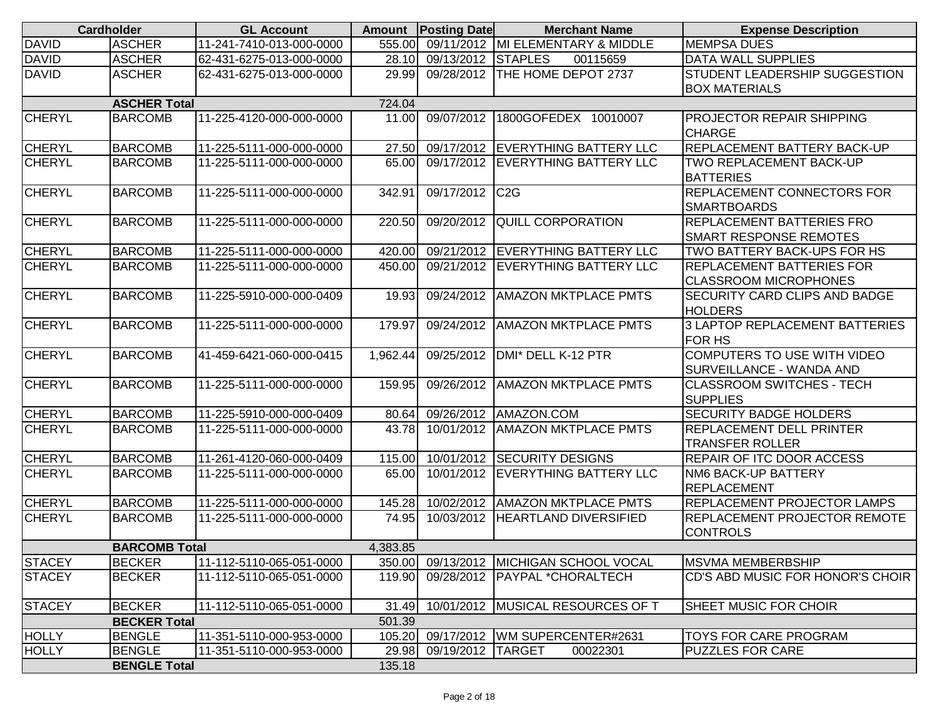|               | <b>Cardholder</b>    | <b>GL Account</b>        |          | <b>Amount</b> Posting Date | <b>Merchant Name</b>                    | <b>Expense Description</b>                             |
|---------------|----------------------|--------------------------|----------|----------------------------|-----------------------------------------|--------------------------------------------------------|
| <b>DAVID</b>  | <b>ASCHER</b>        | 11-241-7410-013-000-0000 | 555.00   |                            | 09/11/2012 MI ELEMENTARY & MIDDLE       | <b>MEMPSA DUES</b>                                     |
| <b>DAVID</b>  | <b>ASCHER</b>        | 62-431-6275-013-000-0000 | 28.10    | 09/13/2012 STAPLES         | 00115659                                | DATA WALL SUPPLIES                                     |
| <b>DAVID</b>  | <b>ASCHER</b>        | 62-431-6275-013-000-0000 | 29.99    | 09/28/2012                 | THE HOME DEPOT 2737                     | STUDENT LEADERSHIP SUGGESTION                          |
|               |                      |                          |          |                            |                                         | <b>BOX MATERIALS</b>                                   |
|               | <b>ASCHER Total</b>  |                          | 724.04   |                            |                                         |                                                        |
| <b>CHERYL</b> | <b>BARCOMB</b>       | 11-225-4120-000-000-0000 | 11.00    | 09/07/2012                 | 1800GOFEDEX 10010007                    | <b>PROJECTOR REPAIR SHIPPING</b>                       |
|               |                      |                          |          |                            |                                         | <b>CHARGE</b>                                          |
| <b>CHERYL</b> | <b>BARCOMB</b>       | 11-225-5111-000-000-0000 | 27.50    |                            | 09/17/2012 EVERYTHING BATTERY LLC       | REPLACEMENT BATTERY BACK-UP                            |
| <b>CHERYL</b> | <b>BARCOMB</b>       | 11-225-5111-000-000-0000 | 65.00    |                            | 09/17/2012 EVERYTHING BATTERY LLC       | TWO REPLACEMENT BACK-UP                                |
|               |                      |                          |          |                            |                                         | <b>BATTERIES</b>                                       |
| <b>CHERYL</b> | <b>BARCOMB</b>       | 11-225-5111-000-000-0000 | 342.91   | 09/17/2012 C2G             |                                         | REPLACEMENT CONNECTORS FOR                             |
|               |                      |                          |          |                            |                                         | <b>SMARTBOARDS</b>                                     |
| <b>CHERYL</b> | <b>BARCOMB</b>       | 11-225-5111-000-000-0000 | 220.50   | 09/20/2012                 | <b>QUILL CORPORATION</b>                | <b>REPLACEMENT BATTERIES FRO</b>                       |
|               |                      |                          |          |                            |                                         | <b>SMART RESPONSE REMOTES</b>                          |
| <b>CHERYL</b> | <b>BARCOMB</b>       | 11-225-5111-000-000-0000 | 420.00   |                            | 09/21/2012 EVERYTHING BATTERY LLC       | TWO BATTERY BACK-UPS FOR HS                            |
| <b>CHERYL</b> | <b>BARCOMB</b>       | 11-225-5111-000-000-0000 | 450.00   |                            | 09/21/2012 EVERYTHING BATTERY LLC       | <b>REPLACEMENT BATTERIES FOR</b>                       |
|               |                      |                          |          |                            |                                         | <b>CLASSROOM MICROPHONES</b>                           |
| <b>CHERYL</b> | <b>BARCOMB</b>       | 11-225-5910-000-000-0409 | 19.93    | 09/24/2012                 | <b>AMAZON MKTPLACE PMTS</b>             | <b>SECURITY CARD CLIPS AND BADGE</b>                   |
|               |                      |                          |          |                            |                                         | <b>HOLDERS</b>                                         |
| <b>CHERYL</b> | <b>BARCOMB</b>       | 11-225-5111-000-000-0000 | 179.97   | 09/24/2012                 | <b>AMAZON MKTPLACE PMTS</b>             | <b>3 LAPTOP REPLACEMENT BATTERIES</b><br><b>FOR HS</b> |
| <b>CHERYL</b> | <b>BARCOMB</b>       | 41-459-6421-060-000-0415 | 1,962.44 | 09/25/2012                 | DMI* DELL K-12 PTR                      | COMPUTERS TO USE WITH VIDEO                            |
|               |                      |                          |          |                            |                                         | SURVEILLANCE - WANDA AND                               |
| <b>CHERYL</b> | <b>BARCOMB</b>       | 11-225-5111-000-000-0000 | 159.95   | 09/26/2012                 | <b>AMAZON MKTPLACE PMTS</b>             | <b>CLASSROOM SWITCHES - TECH</b>                       |
|               |                      |                          |          |                            |                                         | <b>SUPPLIES</b>                                        |
| <b>CHERYL</b> | <b>BARCOMB</b>       | 11-225-5910-000-000-0409 | 80.64    |                            | 09/26/2012 AMAZON.COM                   | <b>SECURITY BADGE HOLDERS</b>                          |
| <b>CHERYL</b> | <b>BARCOMB</b>       | 11-225-5111-000-000-0000 | 43.78    | 10/01/2012                 | <b>AMAZON MKTPLACE PMTS</b>             | <b>REPLACEMENT DELL PRINTER</b>                        |
|               |                      |                          |          |                            |                                         | <b>TRANSFER ROLLER</b>                                 |
| <b>CHERYL</b> | <b>BARCOMB</b>       | 11-261-4120-060-000-0409 | 115.00   |                            | 10/01/2012 SECURITY DESIGNS             | <b>REPAIR OF ITC DOOR ACCESS</b>                       |
| <b>CHERYL</b> | <b>BARCOMB</b>       | 11-225-5111-000-000-0000 | 65.00    |                            | 10/01/2012 EVERYTHING BATTERY LLC       | NM6 BACK-UP BATTERY                                    |
|               |                      |                          |          |                            |                                         | <b>REPLACEMENT</b>                                     |
| <b>CHERYL</b> | <b>BARCOMB</b>       | 11-225-5111-000-000-0000 | 145.28   | 10/02/2012                 | <b>AMAZON MKTPLACE PMTS</b>             | <b>REPLACEMENT PROJECTOR LAMPS</b>                     |
| <b>CHERYL</b> | <b>BARCOMB</b>       | 11-225-5111-000-000-0000 | 74.95    |                            | 10/03/2012  HEARTLAND DIVERSIFIED       | <b>REPLACEMENT PROJECTOR REMOTE</b>                    |
|               |                      |                          |          |                            |                                         | <b>CONTROLS</b>                                        |
|               | <b>BARCOMB Total</b> |                          | 4,383.85 |                            |                                         |                                                        |
| <b>STACEY</b> | <b>BECKER</b>        | 11-112-5110-065-051-0000 |          |                            | 350.00 09/13/2012 MICHIGAN SCHOOL VOCAL | <b>MSVMA MEMBERBSHIP</b>                               |
| <b>STACEY</b> | <b>BECKER</b>        | 11-112-5110-065-051-0000 | 119.90   | 09/28/2012                 | <b>PAYPAL *CHORALTECH</b>               | CD'S ABD MUSIC FOR HONOR'S CHOIR                       |
|               |                      |                          |          |                            |                                         |                                                        |
| <b>STACEY</b> | <b>BECKER</b>        | 11-112-5110-065-051-0000 | 31.49    |                            | 10/01/2012   MUSICAL RESOURCES OF T     | SHEET MUSIC FOR CHOIR                                  |
|               | <b>BECKER Total</b>  |                          | 501.39   |                            |                                         |                                                        |
| <b>HOLLY</b>  | <b>BENGLE</b>        | 11-351-5110-000-953-0000 | 105.20   |                            | 09/17/2012 WM SUPERCENTER#2631          | <b>TOYS FOR CARE PROGRAM</b>                           |
| <b>HOLLY</b>  | <b>BENGLE</b>        | 11-351-5110-000-953-0000 | 29.98    | 09/19/2012 TARGET          | 00022301                                | <b>PUZZLES FOR CARE</b>                                |
|               | <b>BENGLE Total</b>  |                          | 135.18   |                            |                                         |                                                        |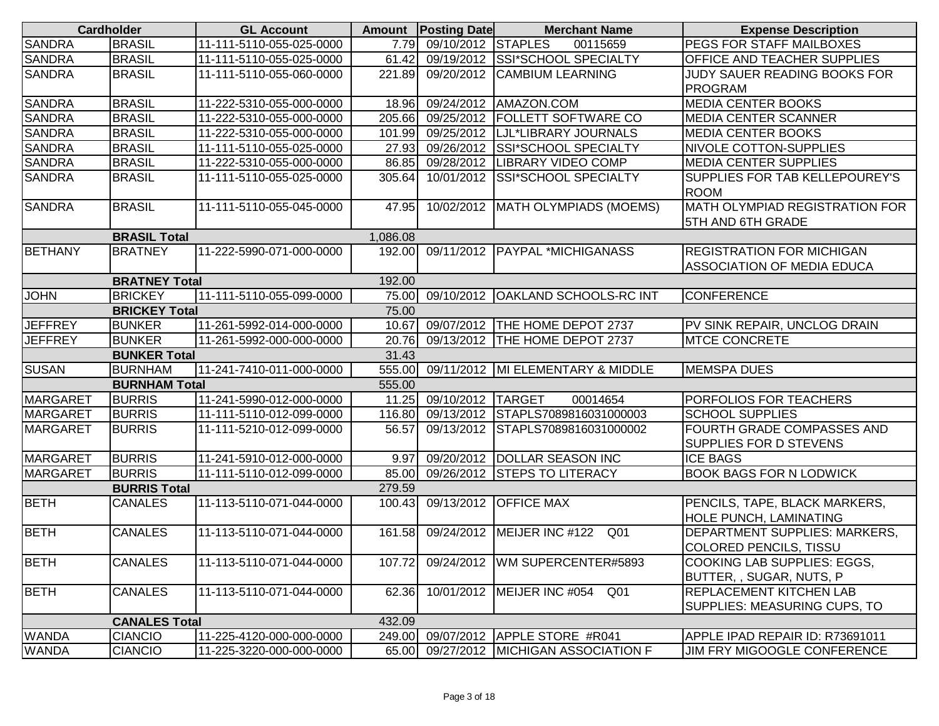|                 | <b>Cardholder</b>    | <b>GL Account</b>        |          | <b>Amount</b> Posting Date | <b>Merchant Name</b>                          | <b>Expense Description</b>         |
|-----------------|----------------------|--------------------------|----------|----------------------------|-----------------------------------------------|------------------------------------|
| <b>SANDRA</b>   | <b>BRASIL</b>        | 11-111-5110-055-025-0000 | 7.79     | 09/10/2012 STAPLES         | 00115659                                      | PEGS FOR STAFF MAILBOXES           |
| <b>SANDRA</b>   | <b>BRASIL</b>        | 11-111-5110-055-025-0000 | 61.42    |                            | 09/19/2012 SSI*SCHOOL SPECIALTY               | OFFICE AND TEACHER SUPPLIES        |
| <b>SANDRA</b>   | <b>BRASIL</b>        | 11-111-5110-055-060-0000 | 221.89   | 09/20/2012                 | <b>CAMBIUM LEARNING</b>                       | JUDY SAUER READING BOOKS FOR       |
|                 |                      |                          |          |                            |                                               | <b>PROGRAM</b>                     |
| <b>SANDRA</b>   | <b>BRASIL</b>        | 11-222-5310-055-000-0000 | 18.96    | 09/24/2012                 | AMAZON.COM                                    | <b>MEDIA CENTER BOOKS</b>          |
| <b>SANDRA</b>   | <b>BRASIL</b>        | 11-222-5310-055-000-0000 | 205.66   |                            | 09/25/2012   FOLLETT SOFTWARE CO              | <b>MEDIA CENTER SCANNER</b>        |
| <b>SANDRA</b>   | <b>BRASIL</b>        | 11-222-5310-055-000-0000 | 101.99   | 09/25/2012                 | LJL*LIBRARY JOURNALS                          | <b>MEDIA CENTER BOOKS</b>          |
| <b>SANDRA</b>   | <b>BRASIL</b>        | 11-111-5110-055-025-0000 | 27.93    | 09/26/2012                 | <b>SSI*SCHOOL SPECIALTY</b>                   | <b>NIVOLE COTTON-SUPPLIES</b>      |
| <b>SANDRA</b>   | <b>BRASIL</b>        | 11-222-5310-055-000-0000 | 86.85    |                            | 09/28/2012  LIBRARY VIDEO COMP                | <b>MEDIA CENTER SUPPLIES</b>       |
| <b>SANDRA</b>   | <b>BRASIL</b>        | 11-111-5110-055-025-0000 | 305.64   | 10/01/2012                 | <b>SSI*SCHOOL SPECIALTY</b>                   | SUPPLIES FOR TAB KELLEPOUREY'S     |
|                 |                      |                          |          |                            |                                               | <b>ROOM</b>                        |
| <b>SANDRA</b>   | <b>BRASIL</b>        | 11-111-5110-055-045-0000 | 47.95    |                            | 10/02/2012   MATH OLYMPIADS (MOEMS)           | MATH OLYMPIAD REGISTRATION FOR     |
|                 |                      |                          |          |                            |                                               | 5TH AND 6TH GRADE                  |
|                 | <b>BRASIL Total</b>  |                          | 1,086.08 |                            |                                               |                                    |
| <b>BETHANY</b>  | <b>BRATNEY</b>       | 11-222-5990-071-000-0000 | 192.00   | 09/11/2012                 | <b>PAYPAL *MICHIGANASS</b>                    | <b>REGISTRATION FOR MICHIGAN</b>   |
|                 |                      |                          |          |                            |                                               | <b>ASSOCIATION OF MEDIA EDUCA</b>  |
|                 | <b>BRATNEY Total</b> |                          | 192.00   |                            |                                               |                                    |
| <b>JOHN</b>     | <b>BRICKEY</b>       | 11-111-5110-055-099-0000 | 75.00    |                            | 09/10/2012 OAKLAND SCHOOLS-RC INT             | <b>CONFERENCE</b>                  |
|                 | <b>BRICKEY Total</b> |                          | 75.00    |                            |                                               |                                    |
| <b>JEFFREY</b>  | <b>BUNKER</b>        | 11-261-5992-014-000-0000 | 10.67    | 09/07/2012                 | THE HOME DEPOT 2737                           | PV SINK REPAIR, UNCLOG DRAIN       |
| <b>JEFFREY</b>  | <b>BUNKER</b>        | 11-261-5992-000-000-0000 | 20.76    |                            | 09/13/2012 THE HOME DEPOT 2737                | <b>MTCE CONCRETE</b>               |
|                 | <b>BUNKER Total</b>  |                          | 31.43    |                            |                                               |                                    |
| <b>SUSAN</b>    | <b>BURNHAM</b>       | 11-241-7410-011-000-0000 | 555.00   |                            | 09/11/2012   MI ELEMENTARY & MIDDLE           | <b>MEMSPA DUES</b>                 |
|                 | <b>BURNHAM Total</b> |                          | 555.00   |                            |                                               |                                    |
| <b>MARGARET</b> | <b>BURRIS</b>        | 11-241-5990-012-000-0000 | 11.25    | 09/10/2012 TARGET          | 00014654                                      | PORFOLIOS FOR TEACHERS             |
| <b>MARGARET</b> | <b>BURRIS</b>        | 11-111-5110-012-099-0000 | 116.80   | 09/13/2012                 | STAPLS7089816031000003                        | <b>SCHOOL SUPPLIES</b>             |
| <b>MARGARET</b> | <b>BURRIS</b>        | 11-111-5210-012-099-0000 | 56.57    | 09/13/2012                 | STAPLS7089816031000002                        | FOURTH GRADE COMPASSES AND         |
|                 |                      |                          |          |                            |                                               | SUPPLIES FOR D STEVENS             |
| <b>MARGARET</b> | <b>BURRIS</b>        | 11-241-5910-012-000-0000 | 9.97     |                            | 09/20/2012 DOLLAR SEASON INC                  | <b>ICE BAGS</b>                    |
| <b>MARGARET</b> | <b>BURRIS</b>        | 11-111-5110-012-099-0000 | 85.00    |                            | 09/26/2012 STEPS TO LITERACY                  | <b>BOOK BAGS FOR N LODWICK</b>     |
|                 | <b>BURRIS Total</b>  |                          | 279.59   |                            |                                               |                                    |
| <b>BETH</b>     | <b>CANALES</b>       | 11-113-5110-071-044-0000 | 100.43   |                            | 09/13/2012 OFFICE MAX                         | PENCILS, TAPE, BLACK MARKERS,      |
|                 |                      |                          |          |                            |                                               | <b>HOLE PUNCH, LAMINATING</b>      |
| <b>BETH</b>     | <b>CANALES</b>       | 11-113-5110-071-044-0000 | 161.58   | 09/24/2012                 | MEIJER INC #122<br>Q <sub>01</sub>            | DEPARTMENT SUPPLIES: MARKERS,      |
|                 |                      |                          |          |                            |                                               | <b>COLORED PENCILS, TISSU</b>      |
| <b>BETH</b>     | <b>CANALES</b>       | 11-113-5110-071-044-0000 | 107.72   |                            | 09/24/2012   WM SUPERCENTER#5893              | COOKING LAB SUPPLIES: EGGS,        |
|                 |                      |                          |          |                            |                                               | BUTTER,, SUGAR, NUTS, P            |
| <b>BETH</b>     | <b>CANALES</b>       | 11-113-5110-071-044-0000 | 62.36    |                            | 10/01/2012 MEIJER INC #054<br>Q <sub>01</sub> | <b>REPLACEMENT KITCHEN LAB</b>     |
|                 |                      |                          |          |                            |                                               | SUPPLIES: MEASURING CUPS, TO       |
|                 | <b>CANALES Total</b> |                          | 432.09   |                            |                                               |                                    |
| <b>WANDA</b>    | <b>CIANCIO</b>       | 11-225-4120-000-000-0000 | 249.00   |                            | 09/07/2012 APPLE STORE #R041                  | APPLE IPAD REPAIR ID: R73691011    |
| <b>WANDA</b>    | <b>CIANCIO</b>       | 11-225-3220-000-000-0000 | 65.00    |                            | 09/27/2012 MICHIGAN ASSOCIATION F             | <b>JIM FRY MIGOOGLE CONFERENCE</b> |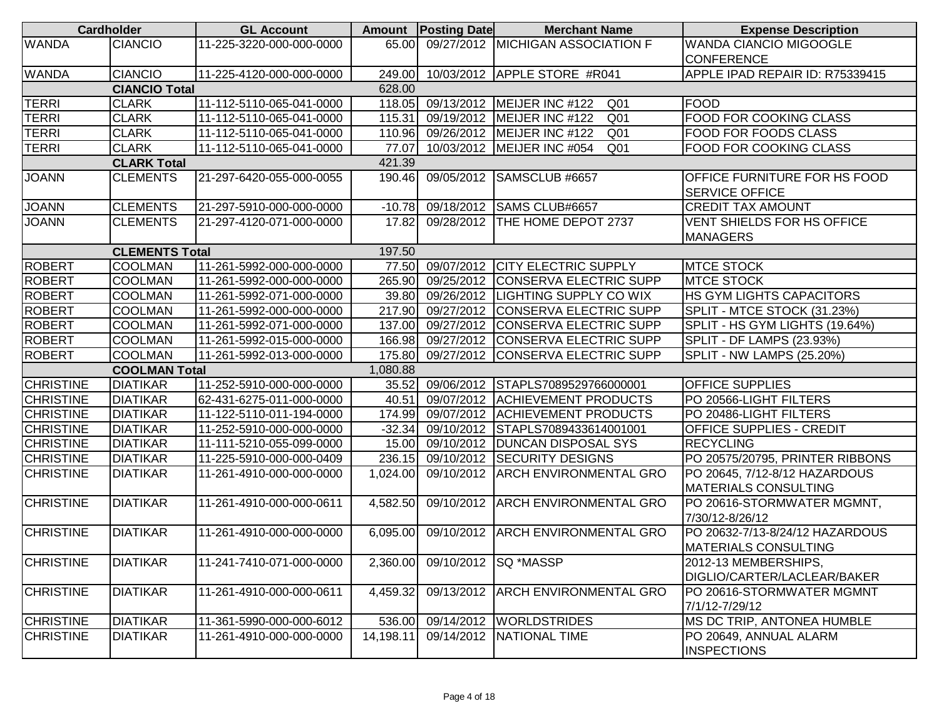|                  | <b>Cardholder</b>     | <b>GL Account</b>        |           | <b>Amount</b> Posting Date    | <b>Merchant Name</b>                          | <b>Expense Description</b>                            |
|------------------|-----------------------|--------------------------|-----------|-------------------------------|-----------------------------------------------|-------------------------------------------------------|
| <b>WANDA</b>     | <b>CIANCIO</b>        | 11-225-3220-000-000-0000 | 65.00     |                               | 09/27/2012 MICHIGAN ASSOCIATION F             | <b>WANDA CIANCIO MIGOOGLE</b>                         |
|                  |                       |                          |           |                               |                                               | <b>CONFERENCE</b>                                     |
| <b>WANDA</b>     | <b>CIANCIO</b>        | 11-225-4120-000-000-0000 | 249.00    |                               | 10/03/2012 APPLE STORE #R041                  | APPLE IPAD REPAIR ID: R75339415                       |
|                  | <b>CIANCIO Total</b>  |                          | 628.00    |                               |                                               |                                                       |
| <b>TERRI</b>     | <b>CLARK</b>          | 11-112-5110-065-041-0000 | 118.05    | 09/13/2012                    | MEIJER INC #122<br>Q <sub>01</sub>            | <b>FOOD</b>                                           |
| <b>TERRI</b>     | <b>CLARK</b>          | 11-112-5110-065-041-0000 | 115.31    |                               | 09/19/2012 MEIJER INC #122<br>Q <sub>01</sub> | FOOD FOR COOKING CLASS                                |
| <b>TERRI</b>     | <b>CLARK</b>          | 11-112-5110-065-041-0000 | 110.96    |                               | 09/26/2012 MEIJER INC #122<br>Q <sub>01</sub> | <b>FOOD FOR FOODS CLASS</b>                           |
| <b>TERRI</b>     | <b>CLARK</b>          | 11-112-5110-065-041-0000 | 77.07     |                               | 10/03/2012 MEIJER INC #054<br>Q <sub>01</sub> | <b>FOOD FOR COOKING CLASS</b>                         |
|                  | <b>CLARK Total</b>    |                          | 421.39    |                               |                                               |                                                       |
| <b>JOANN</b>     | <b>CLEMENTS</b>       | 21-297-6420-055-000-0055 | 190.46    | 09/05/2012                    | SAMSCLUB #6657                                | OFFICE FURNITURE FOR HS FOOD<br><b>SERVICE OFFICE</b> |
| <b>JOANN</b>     | <b>CLEMENTS</b>       | 21-297-5910-000-000-0000 | $-10.78$  |                               | 09/18/2012 SAMS CLUB#6657                     | <b>CREDIT TAX AMOUNT</b>                              |
| <b>JOANN</b>     | <b>CLEMENTS</b>       | 21-297-4120-071-000-0000 | 17.82     | 09/28/2012                    | THE HOME DEPOT 2737                           | VENT SHIELDS FOR HS OFFICE                            |
|                  |                       |                          |           |                               |                                               | <b>MANAGERS</b>                                       |
|                  | <b>CLEMENTS Total</b> |                          | 197.50    |                               |                                               |                                                       |
| <b>ROBERT</b>    | <b>COOLMAN</b>        | 11-261-5992-000-000-0000 | 77.50     |                               | 09/07/2012 CITY ELECTRIC SUPPLY               | <b>MTCE STOCK</b>                                     |
| <b>ROBERT</b>    | <b>COOLMAN</b>        | 11-261-5992-000-000-0000 | 265.90    |                               | 09/25/2012 CONSERVA ELECTRIC SUPP             | <b>MTCE STOCK</b>                                     |
| <b>ROBERT</b>    | <b>COOLMAN</b>        | 11-261-5992-071-000-0000 | 39.80     |                               | 09/26/2012 LIGHTING SUPPLY CO WIX             | HS GYM LIGHTS CAPACITORS                              |
| <b>ROBERT</b>    | <b>COOLMAN</b>        | 11-261-5992-000-000-0000 | 217.90    |                               | 09/27/2012 CONSERVA ELECTRIC SUPP             | SPLIT - MTCE STOCK (31.23%)                           |
| <b>ROBERT</b>    | <b>COOLMAN</b>        | 11-261-5992-071-000-0000 | 137.00    |                               | 09/27/2012 CONSERVA ELECTRIC SUPP             | SPLIT - HS GYM LIGHTS (19.64%)                        |
| <b>ROBERT</b>    | <b>COOLMAN</b>        | 11-261-5992-015-000-0000 | 166.98    |                               | 09/27/2012 CONSERVA ELECTRIC SUPP             | SPLIT - DF LAMPS (23.93%)                             |
| <b>ROBERT</b>    | <b>COOLMAN</b>        | 11-261-5992-013-000-0000 | 175.80    |                               | 09/27/2012 CONSERVA ELECTRIC SUPP             | SPLIT - NW LAMPS (25.20%)                             |
|                  | <b>COOLMAN Total</b>  |                          | 1,080.88  |                               |                                               |                                                       |
| <b>CHRISTINE</b> | <b>DIATIKAR</b>       | 11-252-5910-000-000-0000 | 35.52     |                               | 09/06/2012 STAPLS7089529766000001             | <b>OFFICE SUPPLIES</b>                                |
| <b>CHRISTINE</b> | <b>DIATIKAR</b>       | 62-431-6275-011-000-0000 | 40.51     |                               | 09/07/2012 ACHIEVEMENT PRODUCTS               | PO 20566-LIGHT FILTERS                                |
| <b>CHRISTINE</b> | <b>DIATIKAR</b>       | 11-122-5110-011-194-0000 | 174.99    |                               | 09/07/2012 ACHIEVEMENT PRODUCTS               | PO 20486-LIGHT FILTERS                                |
| <b>CHRISTINE</b> | <b>DIATIKAR</b>       | 11-252-5910-000-000-0000 | $-32.34$  |                               | 09/10/2012 STAPLS7089433614001001             | <b>OFFICE SUPPLIES - CREDIT</b>                       |
| <b>CHRISTINE</b> | <b>DIATIKAR</b>       | 11-111-5210-055-099-0000 | 15.00     |                               | 09/10/2012 DUNCAN DISPOSAL SYS                | <b>RECYCLING</b>                                      |
| <b>CHRISTINE</b> | <b>DIATIKAR</b>       | 11-225-5910-000-000-0409 | 236.15    |                               | 09/10/2012 SECURITY DESIGNS                   | PO 20575/20795, PRINTER RIBBONS                       |
| <b>CHRISTINE</b> | <b>DIATIKAR</b>       | 11-261-4910-000-000-0000 | 1,024.00  |                               | 09/10/2012 ARCH ENVIRONMENTAL GRO             | PO 20645, 7/12-8/12 HAZARDOUS                         |
|                  |                       |                          |           |                               |                                               | <b>MATERIALS CONSULTING</b>                           |
| <b>CHRISTINE</b> | <b>DIATIKAR</b>       | 11-261-4910-000-000-0611 | 4,582.50  |                               | 09/10/2012 ARCH ENVIRONMENTAL GRO             | PO 20616-STORMWATER MGMNT,                            |
|                  |                       |                          |           |                               |                                               | 7/30/12-8/26/12                                       |
| <b>CHRISTINE</b> | <b>DIATIKAR</b>       | 11-261-4910-000-000-0000 | 6,095.00  |                               | 09/10/2012 ARCH ENVIRONMENTAL GRO             | PO 20632-7/13-8/24/12 HAZARDOUS                       |
|                  |                       |                          |           |                               |                                               | <b>MATERIALS CONSULTING</b>                           |
| <b>CHRISTINE</b> | <b>DIATIKAR</b>       | 11-241-7410-071-000-0000 |           | 2,360.00 09/10/2012 SQ *MASSP |                                               | 2012-13 MEMBERSHIPS,                                  |
|                  |                       |                          |           |                               |                                               | DIGLIO/CARTER/LACLEAR/BAKER                           |
| <b>CHRISTINE</b> | <b>DIATIKAR</b>       | 11-261-4910-000-000-0611 | 4,459.32  | 09/13/2012                    | <b>ARCH ENVIRONMENTAL GRO</b>                 | PO 20616-STORMWATER MGMNT                             |
|                  |                       |                          |           |                               |                                               | 7/1/12-7/29/12                                        |
| <b>CHRISTINE</b> | <b>DIATIKAR</b>       | 11-361-5990-000-000-6012 | 536.00    |                               | 09/14/2012 WORLDSTRIDES                       | MS DC TRIP, ANTONEA HUMBLE                            |
| <b>CHRISTINE</b> | <b>DIATIKAR</b>       | 11-261-4910-000-000-0000 | 14,198.11 |                               | 09/14/2012 NATIONAL TIME                      | PO 20649, ANNUAL ALARM                                |
|                  |                       |                          |           |                               |                                               | <b>INSPECTIONS</b>                                    |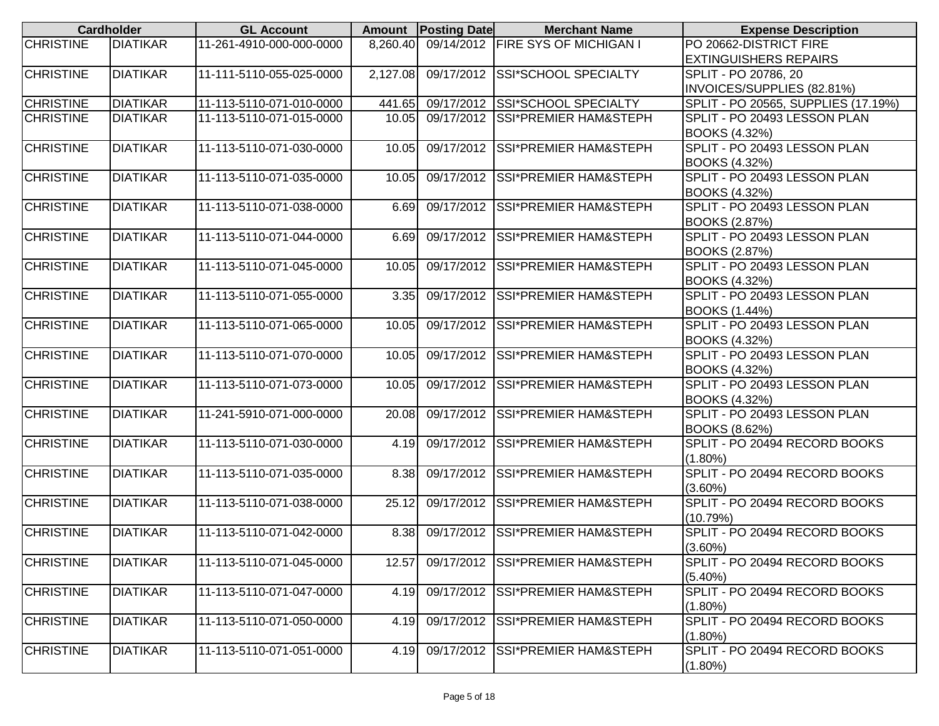|                  | <b>Cardholder</b> | <b>GL Account</b>        |          | <b>Amount Posting Date</b> | <b>Merchant Name</b>              | <b>Expense Description</b>                     |
|------------------|-------------------|--------------------------|----------|----------------------------|-----------------------------------|------------------------------------------------|
| <b>CHRISTINE</b> | <b>DIATIKAR</b>   | 11-261-4910-000-000-0000 | 8,260.40 |                            | 09/14/2012 FIRE SYS OF MICHIGAN I | PO 20662-DISTRICT FIRE                         |
|                  |                   |                          |          |                            |                                   | <b>EXTINGUISHERS REPAIRS</b>                   |
| <b>CHRISTINE</b> | <b>DIATIKAR</b>   | 11-111-5110-055-025-0000 | 2,127.08 |                            | 09/17/2012 SSI*SCHOOL SPECIALTY   | SPLIT - PO 20786, 20                           |
|                  |                   |                          |          |                            |                                   | INVOICES/SUPPLIES (82.81%)                     |
| <b>CHRISTINE</b> | <b>DIATIKAR</b>   | 11-113-5110-071-010-0000 | 441.65   |                            | 09/17/2012 SSI*SCHOOL SPECIALTY   | SPLIT - PO 20565, SUPPLIES (17.19%)            |
| <b>CHRISTINE</b> | <b>DIATIKAR</b>   | 11-113-5110-071-015-0000 | 10.05    |                            | 09/17/2012 SSI*PREMIER HAM&STEPH  | SPLIT - PO 20493 LESSON PLAN                   |
|                  |                   |                          |          |                            |                                   | <b>BOOKS (4.32%)</b>                           |
| <b>CHRISTINE</b> | <b>DIATIKAR</b>   | 11-113-5110-071-030-0000 | 10.05    | 09/17/2012                 | <b>SSI*PREMIER HAM&amp;STEPH</b>  | SPLIT - PO 20493 LESSON PLAN                   |
|                  |                   |                          |          |                            |                                   | <b>BOOKS (4.32%)</b>                           |
| <b>CHRISTINE</b> | <b>DIATIKAR</b>   | 11-113-5110-071-035-0000 | 10.05    | 09/17/2012                 | <b>SSI*PREMIER HAM&amp;STEPH</b>  | SPLIT - PO 20493 LESSON PLAN                   |
|                  |                   |                          |          |                            |                                   | <b>BOOKS (4.32%)</b>                           |
| <b>CHRISTINE</b> | <b>DIATIKAR</b>   | 11-113-5110-071-038-0000 | 6.69     | 09/17/2012                 | <b>SSI*PREMIER HAM&amp;STEPH</b>  | SPLIT - PO 20493 LESSON PLAN                   |
|                  |                   |                          |          |                            |                                   | BOOKS (2.87%)                                  |
| <b>CHRISTINE</b> | <b>DIATIKAR</b>   | 11-113-5110-071-044-0000 | 6.69     | 09/17/2012                 | <b>SSI*PREMIER HAM&amp;STEPH</b>  | SPLIT - PO 20493 LESSON PLAN                   |
|                  |                   |                          |          |                            |                                   | <b>BOOKS (2.87%)</b>                           |
| <b>CHRISTINE</b> | <b>DIATIKAR</b>   | 11-113-5110-071-045-0000 | 10.05    | 09/17/2012                 | <b>SSI*PREMIER HAM&amp;STEPH</b>  | SPLIT - PO 20493 LESSON PLAN                   |
|                  |                   |                          |          |                            |                                   | <b>BOOKS (4.32%)</b>                           |
| <b>CHRISTINE</b> | <b>DIATIKAR</b>   | 11-113-5110-071-055-0000 | 3.35     | 09/17/2012                 | SSI*PREMIER HAM&STEPH             | SPLIT - PO 20493 LESSON PLAN                   |
|                  |                   |                          |          |                            |                                   | <b>BOOKS (1.44%)</b>                           |
| <b>CHRISTINE</b> | <b>DIATIKAR</b>   | 11-113-5110-071-065-0000 | 10.05    | 09/17/2012                 | <b>SSI*PREMIER HAM&amp;STEPH</b>  | SPLIT - PO 20493 LESSON PLAN                   |
|                  |                   |                          |          |                            |                                   | <b>BOOKS (4.32%)</b>                           |
| <b>CHRISTINE</b> | <b>DIATIKAR</b>   | 11-113-5110-071-070-0000 | 10.05    | 09/17/2012                 | <b>SSI*PREMIER HAM&amp;STEPH</b>  | SPLIT - PO 20493 LESSON PLAN                   |
|                  |                   |                          |          |                            |                                   | <b>BOOKS (4.32%)</b>                           |
| <b>CHRISTINE</b> | <b>DIATIKAR</b>   | 11-113-5110-071-073-0000 | 10.05    | 09/17/2012                 | <b>SSI*PREMIER HAM&amp;STEPH</b>  | SPLIT - PO 20493 LESSON PLAN                   |
|                  |                   |                          |          |                            |                                   | <b>BOOKS (4.32%)</b>                           |
| <b>CHRISTINE</b> | <b>DIATIKAR</b>   | 11-241-5910-071-000-0000 | 20.08    | 09/17/2012                 | <b>SSI*PREMIER HAM&amp;STEPH</b>  | SPLIT - PO 20493 LESSON PLAN                   |
| <b>CHRISTINE</b> | <b>DIATIKAR</b>   |                          | 4.19     |                            | 09/17/2012 SSI*PREMIER HAM&STEPH  | BOOKS (8.62%)<br>SPLIT - PO 20494 RECORD BOOKS |
|                  |                   | 11-113-5110-071-030-0000 |          |                            |                                   | $(1.80\%)$                                     |
| <b>CHRISTINE</b> | <b>DIATIKAR</b>   | 11-113-5110-071-035-0000 | 8.38     | $\overline{09/17/2012}$    | <b>SSI*PREMIER HAM&amp;STEPH</b>  | SPLIT - PO 20494 RECORD BOOKS                  |
|                  |                   |                          |          |                            |                                   | $(3.60\%)$                                     |
| <b>CHRISTINE</b> | <b>DIATIKAR</b>   | 11-113-5110-071-038-0000 | 25.12    | 09/17/2012                 | <b>SSI*PREMIER HAM&amp;STEPH</b>  | SPLIT - PO 20494 RECORD BOOKS                  |
|                  |                   |                          |          |                            |                                   | (10.79%)                                       |
| <b>CHRISTINE</b> | <b>DIATIKAR</b>   | 11-113-5110-071-042-0000 | 8.38     | 09/17/2012                 | <b>SSI*PREMIER HAM&amp;STEPH</b>  | SPLIT - PO 20494 RECORD BOOKS                  |
|                  |                   |                          |          |                            |                                   | $(3.60\%)$                                     |
| <b>CHRISTINE</b> | <b>DIATIKAR</b>   | 11-113-5110-071-045-0000 | 12.57    |                            | 09/17/2012 SSI*PREMIER HAM&STEPH  | SPLIT - PO 20494 RECORD BOOKS                  |
|                  |                   |                          |          |                            |                                   | $(5.40\%)$                                     |
| <b>CHRISTINE</b> | <b>DIATIKAR</b>   | 11-113-5110-071-047-0000 | 4.19     |                            | 09/17/2012 SSI*PREMIER HAM&STEPH  | SPLIT - PO 20494 RECORD BOOKS                  |
|                  |                   |                          |          |                            |                                   | $(1.80\%)$                                     |
| <b>CHRISTINE</b> | <b>DIATIKAR</b>   | 11-113-5110-071-050-0000 | 4.19     |                            | 09/17/2012 SSI*PREMIER HAM&STEPH  | SPLIT - PO 20494 RECORD BOOKS                  |
|                  |                   |                          |          |                            |                                   | $(1.80\%)$                                     |
| <b>CHRISTINE</b> | <b>DIATIKAR</b>   | 11-113-5110-071-051-0000 | 4.19     |                            | 09/17/2012 SSI*PREMIER HAM&STEPH  | SPLIT - PO 20494 RECORD BOOKS                  |
|                  |                   |                          |          |                            |                                   | $(1.80\%)$                                     |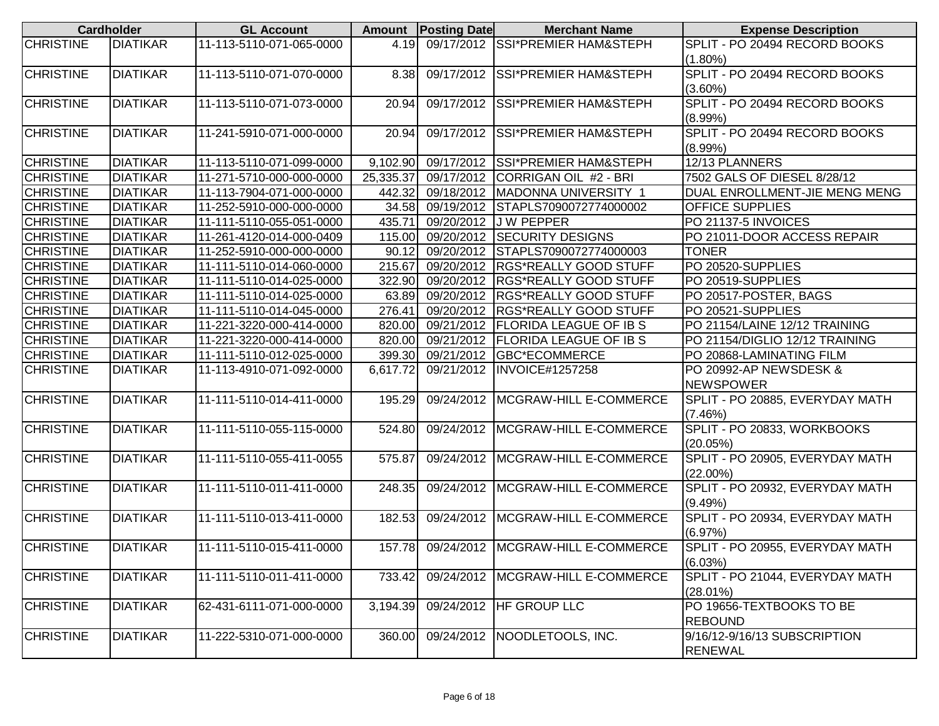|                  | <b>Cardholder</b> | <b>GL Account</b>        | <b>Amount</b> | <b>Posting Date</b> | <b>Merchant Name</b>                     | <b>Expense Description</b>      |
|------------------|-------------------|--------------------------|---------------|---------------------|------------------------------------------|---------------------------------|
| <b>CHRISTINE</b> | <b>DIATIKAR</b>   | 11-113-5110-071-065-0000 | 4.19          | 09/17/2012          | <b>SSI*PREMIER HAM&amp;STEPH</b>         | SPLIT - PO 20494 RECORD BOOKS   |
|                  |                   |                          |               |                     |                                          | $(1.80\%)$                      |
| <b>CHRISTINE</b> | <b>DIATIKAR</b>   | 11-113-5110-071-070-0000 | 8.38          | 09/17/2012          | <b>SSI*PREMIER HAM&amp;STEPH</b>         | SPLIT - PO 20494 RECORD BOOKS   |
|                  |                   |                          |               |                     |                                          | $(3.60\%)$                      |
| <b>CHRISTINE</b> | <b>DIATIKAR</b>   | 11-113-5110-071-073-0000 | 20.94         | 09/17/2012          | <b>SSI*PREMIER HAM&amp;STEPH</b>         | SPLIT - PO 20494 RECORD BOOKS   |
|                  |                   |                          |               |                     |                                          | $(8.99\%)$                      |
| <b>CHRISTINE</b> | <b>DIATIKAR</b>   | 11-241-5910-071-000-0000 | 20.94         | 09/17/2012          | <b>SSI*PREMIER HAM&amp;STEPH</b>         | SPLIT - PO 20494 RECORD BOOKS   |
|                  |                   |                          |               |                     |                                          | $(8.99\%)$                      |
| <b>CHRISTINE</b> | <b>DIATIKAR</b>   | 11-113-5110-071-099-0000 | 9,102.90      | 09/17/2012          | <b>SSI*PREMIER HAM&amp;STEPH</b>         | 12/13 PLANNERS                  |
| <b>CHRISTINE</b> | <b>DIATIKAR</b>   | 11-271-5710-000-000-0000 | 25,335.37     |                     | 09/17/2012 CORRIGAN OIL #2 - BRI         | 7502 GALS OF DIESEL 8/28/12     |
| <b>CHRISTINE</b> | <b>DIATIKAR</b>   | 11-113-7904-071-000-0000 | 442.32        |                     | 09/18/2012 MADONNA UNIVERSITY 1          | DUAL ENROLLMENT-JIE MENG MENG   |
| <b>CHRISTINE</b> | <b>DIATIKAR</b>   | 11-252-5910-000-000-0000 | 34.58         | 09/19/2012          | STAPLS7090072774000002                   | <b>OFFICE SUPPLIES</b>          |
| <b>CHRISTINE</b> | <b>DIATIKAR</b>   | 11-111-5110-055-051-0000 | 435.71        | 09/20/2012          | <b>JW PEPPER</b>                         | PO 21137-5 INVOICES             |
| <b>CHRISTINE</b> | <b>DIATIKAR</b>   | 11-261-4120-014-000-0409 | 115.00        | 09/20/2012          | <b>SECURITY DESIGNS</b>                  | PO 21011-DOOR ACCESS REPAIR     |
| <b>CHRISTINE</b> | <b>DIATIKAR</b>   | 11-252-5910-000-000-0000 | 90.12         | 09/20/2012          | STAPLS7090072774000003                   | <b>TONER</b>                    |
| <b>CHRISTINE</b> | <b>DIATIKAR</b>   | 11-111-5110-014-060-0000 | 215.67        | 09/20/2012          | <b>RGS*REALLY GOOD STUFF</b>             | PO 20520-SUPPLIES               |
| <b>CHRISTINE</b> | <b>DIATIKAR</b>   | 11-111-5110-014-025-0000 | 322.90        | 09/20/2012          | <b>RGS*REALLY GOOD STUFF</b>             | PO 20519-SUPPLIES               |
| <b>CHRISTINE</b> | <b>DIATIKAR</b>   | 11-111-5110-014-025-0000 | 63.89         | 09/20/2012          | <b>RGS*REALLY GOOD STUFF</b>             | PO 20517-POSTER, BAGS           |
| <b>CHRISTINE</b> | <b>DIATIKAR</b>   | 11-111-5110-014-045-0000 | 276.41        | 09/20/2012          | <b>RGS*REALLY GOOD STUFF</b>             | PO 20521-SUPPLIES               |
| <b>CHRISTINE</b> | <b>DIATIKAR</b>   | 11-221-3220-000-414-0000 | 820.00        | 09/21/2012          | <b>FLORIDA LEAGUE OF IB S</b>            | PO 21154/LAINE 12/12 TRAINING   |
| <b>CHRISTINE</b> | <b>DIATIKAR</b>   | 11-221-3220-000-414-0000 | 820.00        | 09/21/2012          | <b>FLORIDA LEAGUE OF IB S</b>            | PO 21154/DIGLIO 12/12 TRAINING  |
| <b>CHRISTINE</b> | <b>DIATIKAR</b>   | 11-111-5110-012-025-0000 | 399.30        | 09/21/2012          | <b>GBC*ECOMMERCE</b>                     | PO 20868-LAMINATING FILM        |
| <b>CHRISTINE</b> | <b>DIATIKAR</b>   | 11-113-4910-071-092-0000 | 6,617.72      | 09/21/2012          | <b>INVOICE#1257258</b>                   | PO 20992-AP NEWSDESK &          |
|                  |                   |                          |               |                     |                                          | <b>NEWSPOWER</b>                |
| <b>CHRISTINE</b> | <b>DIATIKAR</b>   | 11-111-5110-014-411-0000 | 195.29        | 09/24/2012          | MCGRAW-HILL E-COMMERCE                   | SPLIT - PO 20885, EVERYDAY MATH |
|                  |                   |                          |               |                     |                                          | (7.46%)                         |
| <b>CHRISTINE</b> | <b>DIATIKAR</b>   | 11-111-5110-055-115-0000 | 524.80        | 09/24/2012          | MCGRAW-HILL E-COMMERCE                   | SPLIT - PO 20833, WORKBOOKS     |
|                  |                   |                          |               |                     |                                          | (20.05%)                        |
| <b>CHRISTINE</b> | <b>DIATIKAR</b>   | 11-111-5110-055-411-0055 | 575.87        | 09/24/2012          | MCGRAW-HILL E-COMMERCE                   | SPLIT - PO 20905, EVERYDAY MATH |
|                  |                   |                          |               |                     |                                          | $(22.00\%)$                     |
| <b>CHRISTINE</b> | <b>DIATIKAR</b>   | 11-111-5110-011-411-0000 | 248.35        | 09/24/2012          | MCGRAW-HILL E-COMMERCE                   | SPLIT - PO 20932, EVERYDAY MATH |
|                  |                   |                          |               |                     |                                          | (9.49%)                         |
| <b>CHRISTINE</b> | <b>DIATIKAR</b>   | 11-111-5110-013-411-0000 | 182.53        | 09/24/2012          | MCGRAW-HILL E-COMMERCE                   | SPLIT - PO 20934, EVERYDAY MATH |
|                  |                   |                          |               |                     |                                          | (6.97%)                         |
| <b>CHRISTINE</b> | <b>DIATIKAR</b>   | 11-111-5110-015-411-0000 |               |                     | 157.78 09/24/2012 MCGRAW-HILL E-COMMERCE | SPLIT - PO 20955, EVERYDAY MATH |
|                  |                   |                          |               |                     |                                          | (6.03%)                         |
| <b>CHRISTINE</b> | <b>DIATIKAR</b>   | 11-111-5110-011-411-0000 | 733.42        | 09/24/2012          | MCGRAW-HILL E-COMMERCE                   | SPLIT - PO 21044, EVERYDAY MATH |
|                  |                   |                          |               |                     |                                          | $(28.01\%)$                     |
| <b>CHRISTINE</b> | <b>DIATIKAR</b>   | 62-431-6111-071-000-0000 | 3,194.39      | 09/24/2012          | <b>HF GROUP LLC</b>                      | PO 19656-TEXTBOOKS TO BE        |
|                  |                   |                          |               |                     |                                          | <b>REBOUND</b>                  |
| <b>CHRISTINE</b> | <b>DIATIKAR</b>   | 11-222-5310-071-000-0000 | 360.00        | 09/24/2012          | NOODLETOOLS, INC.                        | 9/16/12-9/16/13 SUBSCRIPTION    |
|                  |                   |                          |               |                     |                                          | <b>RENEWAL</b>                  |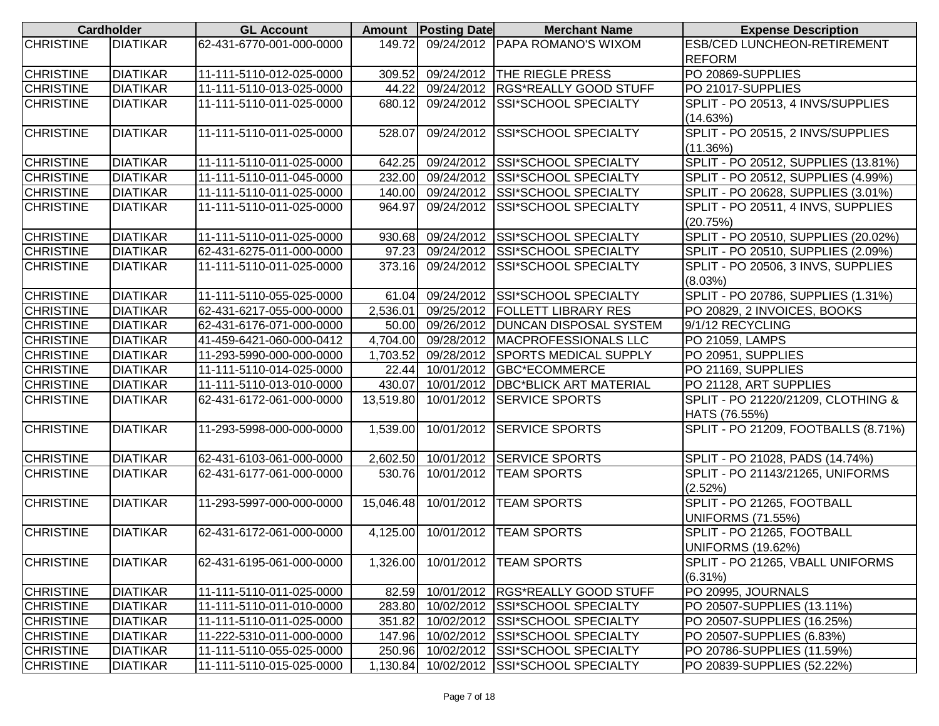|                  | <b>Cardholder</b> | <b>GL Account</b>        |           | Amount   Posting Date | <b>Merchant Name</b>                     | <b>Expense Description</b>          |
|------------------|-------------------|--------------------------|-----------|-----------------------|------------------------------------------|-------------------------------------|
| <b>CHRISTINE</b> | <b>DIATIKAR</b>   | 62-431-6770-001-000-0000 | 149.72    |                       | 09/24/2012 PAPA ROMANO'S WIXOM           | <b>ESB/CED LUNCHEON-RETIREMENT</b>  |
|                  |                   |                          |           |                       |                                          | <b>REFORM</b>                       |
| <b>CHRISTINE</b> | <b>DIATIKAR</b>   | 11-111-5110-012-025-0000 | 309.52    |                       | 09/24/2012 THE RIEGLE PRESS              | PO 20869-SUPPLIES                   |
| <b>CHRISTINE</b> | <b>DIATIKAR</b>   | 11-111-5110-013-025-0000 | 44.22     |                       | 09/24/2012 RGS*REALLY GOOD STUFF         | PO 21017-SUPPLIES                   |
| <b>CHRISTINE</b> | <b>DIATIKAR</b>   | 11-111-5110-011-025-0000 | 680.12    |                       | 09/24/2012 SSI*SCHOOL SPECIALTY          | SPLIT - PO 20513, 4 INVS/SUPPLIES   |
|                  |                   |                          |           |                       |                                          | (14.63%)                            |
| <b>CHRISTINE</b> | <b>DIATIKAR</b>   | 11-111-5110-011-025-0000 | 528.07    | 09/24/2012            | <b>SSI*SCHOOL SPECIALTY</b>              | SPLIT - PO 20515, 2 INVS/SUPPLIES   |
|                  |                   |                          |           |                       |                                          | (11.36%)                            |
| <b>CHRISTINE</b> | <b>DIATIKAR</b>   | 11-111-5110-011-025-0000 | 642.25    |                       | 09/24/2012 SSI*SCHOOL SPECIALTY          | SPLIT - PO 20512, SUPPLIES (13.81%) |
| <b>CHRISTINE</b> | <b>DIATIKAR</b>   | 11-111-5110-011-045-0000 | 232.00    |                       | 09/24/2012 SSI*SCHOOL SPECIALTY          | SPLIT - PO 20512, SUPPLIES (4.99%)  |
| <b>CHRISTINE</b> | <b>DIATIKAR</b>   | 11-111-5110-011-025-0000 | 140.00    |                       | 09/24/2012 SSI*SCHOOL SPECIALTY          | SPLIT - PO 20628, SUPPLIES (3.01%)  |
| <b>CHRISTINE</b> | <b>DIATIKAR</b>   | 11-111-5110-011-025-0000 | 964.97    | 09/24/2012            | <b>SSI*SCHOOL SPECIALTY</b>              | SPLIT - PO 20511, 4 INVS, SUPPLIES  |
|                  |                   |                          |           |                       |                                          | (20.75%)                            |
| <b>CHRISTINE</b> | <b>DIATIKAR</b>   | 11-111-5110-011-025-0000 | 930.68    |                       | 09/24/2012 SSI*SCHOOL SPECIALTY          | SPLIT - PO 20510, SUPPLIES (20.02%) |
| <b>CHRISTINE</b> | <b>DIATIKAR</b>   | 62-431-6275-011-000-0000 | 97.23     |                       | 09/24/2012 SSI*SCHOOL SPECIALTY          | SPLIT - PO 20510, SUPPLIES (2.09%)  |
| <b>CHRISTINE</b> | <b>DIATIKAR</b>   | 11-111-5110-011-025-0000 | 373.16    |                       | 09/24/2012 SSI*SCHOOL SPECIALTY          | SPLIT - PO 20506, 3 INVS, SUPPLIES  |
|                  |                   |                          |           |                       |                                          | (8.03%)                             |
| <b>CHRISTINE</b> | <b>DIATIKAR</b>   | 11-111-5110-055-025-0000 |           |                       | 61.04 09/24/2012 SSI*SCHOOL SPECIALTY    | SPLIT - PO 20786, SUPPLIES (1.31%)  |
| <b>CHRISTINE</b> | <b>DIATIKAR</b>   | 62-431-6217-055-000-0000 | 2,536.01  |                       | 09/25/2012 FOLLETT LIBRARY RES           | PO 20829, 2 INVOICES, BOOKS         |
| <b>CHRISTINE</b> | <b>DIATIKAR</b>   | 62-431-6176-071-000-0000 | 50.00     |                       | 09/26/2012   DUNCAN DISPOSAL SYSTEM      | 9/1/12 RECYCLING                    |
| <b>CHRISTINE</b> | <b>DIATIKAR</b>   | 41-459-6421-060-000-0412 | 4,704.00  |                       | 09/28/2012   MACPROFESSIONALS LLC        | PO 21059, LAMPS                     |
| <b>CHRISTINE</b> | <b>DIATIKAR</b>   | 11-293-5990-000-000-0000 | 1,703.52  |                       | 09/28/2012 SPORTS MEDICAL SUPPLY         | PO 20951, SUPPLIES                  |
| <b>CHRISTINE</b> | <b>DIATIKAR</b>   | 11-111-5110-014-025-0000 |           |                       | 22.44 10/01/2012 GBC*ECOMMERCE           | PO 21169, SUPPLIES                  |
| <b>CHRISTINE</b> | <b>DIATIKAR</b>   | 11-111-5110-013-010-0000 | 430.07    |                       | 10/01/2012   DBC*BLICK ART MATERIAL      | PO 21128, ART SUPPLIES              |
| <b>CHRISTINE</b> | <b>DIATIKAR</b>   | 62-431-6172-061-000-0000 | 13,519.80 | 10/01/2012            | <b>SERVICE SPORTS</b>                    | SPLIT - PO 21220/21209, CLOTHING &  |
|                  |                   |                          |           |                       |                                          | HATS (76.55%)                       |
| <b>CHRISTINE</b> | <b>DIATIKAR</b>   | 11-293-5998-000-000-0000 | 1,539.00  |                       | 10/01/2012 SERVICE SPORTS                | SPLIT - PO 21209, FOOTBALLS (8.71%) |
|                  |                   |                          |           |                       |                                          |                                     |
| <b>CHRISTINE</b> | <b>DIATIKAR</b>   | 62-431-6103-061-000-0000 |           |                       | 2,602.50 10/01/2012 SERVICE SPORTS       | SPLIT - PO 21028, PADS (14.74%)     |
| <b>CHRISTINE</b> | <b>DIATIKAR</b>   | 62-431-6177-061-000-0000 | 530.76    | 10/01/2012            | <b>TEAM SPORTS</b>                       | SPLIT - PO 21143/21265, UNIFORMS    |
|                  |                   |                          |           |                       |                                          | (2.52%)                             |
| <b>CHRISTINE</b> | <b>DIATIKAR</b>   | 11-293-5997-000-000-0000 | 15,046.48 | 10/01/2012            | <b>TEAM SPORTS</b>                       | SPLIT - PO 21265, FOOTBALL          |
|                  |                   |                          |           |                       |                                          | <b>UNIFORMS (71.55%)</b>            |
| <b>CHRISTINE</b> | <b>DIATIKAR</b>   | 62-431-6172-061-000-0000 | 4,125.00  | 10/01/2012            | <b>TEAM SPORTS</b>                       | SPLIT - PO 21265, FOOTBALL          |
|                  |                   |                          |           |                       |                                          | <b>UNIFORMS (19.62%)</b>            |
| <b>CHRISTINE</b> | <b>DIATIKAR</b>   | 62-431-6195-061-000-0000 |           |                       | 1,326.00  10/01/2012   TEAM SPORTS       | SPLIT - PO 21265, VBALL UNIFORMS    |
|                  |                   |                          |           |                       |                                          | $(6.31\%)$                          |
| <b>CHRISTINE</b> | <b>DIATIKAR</b>   | 11-111-5110-011-025-0000 | 82.59     |                       | 10/01/2012  RGS*REALLY GOOD STUFF        | PO 20995, JOURNALS                  |
| <b>CHRISTINE</b> | <b>DIATIKAR</b>   | 11-111-5110-011-010-0000 | 283.80    |                       | 10/02/2012 SSI*SCHOOL SPECIALTY          | PO 20507-SUPPLIES (13.11%)          |
| <b>CHRISTINE</b> | <b>DIATIKAR</b>   | 11-111-5110-011-025-0000 | 351.82    |                       | 10/02/2012 SSI*SCHOOL SPECIALTY          | PO 20507-SUPPLIES (16.25%)          |
| <b>CHRISTINE</b> | <b>DIATIKAR</b>   | 11-222-5310-011-000-0000 | 147.96    |                       | 10/02/2012 SSI*SCHOOL SPECIALTY          | PO 20507-SUPPLIES (6.83%)           |
| <b>CHRISTINE</b> | <b>DIATIKAR</b>   | 11-111-5110-055-025-0000 |           |                       | 250.96 10/02/2012 SSI*SCHOOL SPECIALTY   | PO 20786-SUPPLIES (11.59%)          |
| <b>CHRISTINE</b> | <b>DIATIKAR</b>   | 11-111-5110-015-025-0000 |           |                       | 1,130.84 10/02/2012 SSI*SCHOOL SPECIALTY | PO 20839-SUPPLIES (52.22%)          |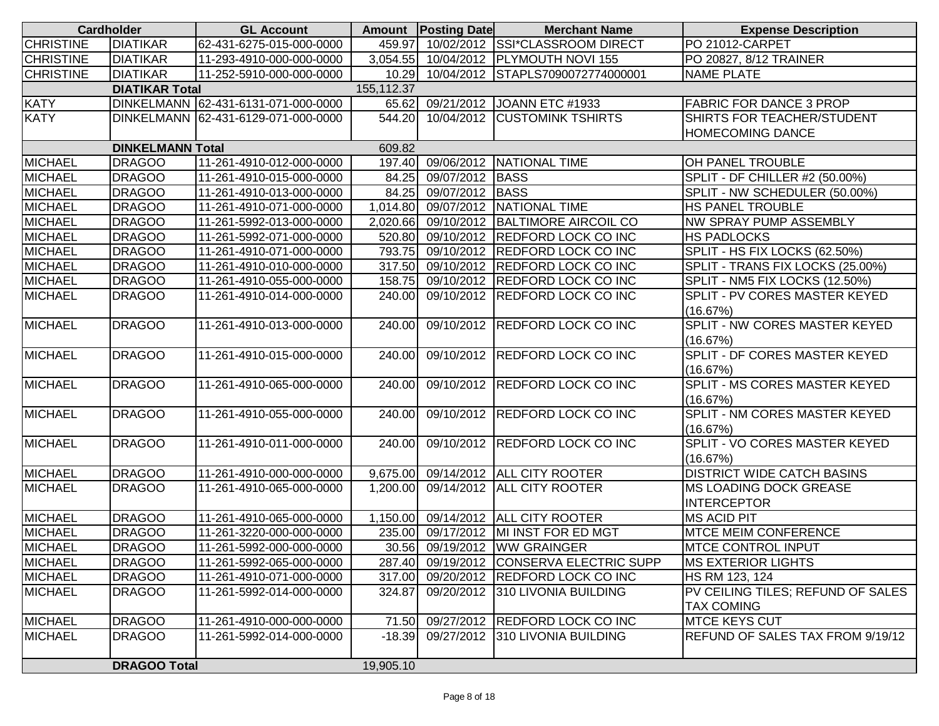|                  | <b>Cardholder</b>       | <b>GL Account</b>                   |            | Amount   Posting Date | <b>Merchant Name</b>                    | <b>Expense Description</b>            |
|------------------|-------------------------|-------------------------------------|------------|-----------------------|-----------------------------------------|---------------------------------------|
| <b>CHRISTINE</b> | <b>DIATIKAR</b>         | 62-431-6275-015-000-0000            | 459.97     |                       | 10/02/2012 SSI*CLASSROOM DIRECT         | PO 21012-CARPET                       |
| <b>CHRISTINE</b> | <b>DIATIKAR</b>         | 11-293-4910-000-000-0000            |            |                       | 3,054.55 10/04/2012 PLYMOUTH NOVI 155   | PO 20827, 8/12 TRAINER                |
| <b>CHRISTINE</b> | <b>DIATIKAR</b>         | 11-252-5910-000-000-0000            |            |                       | 10.29 10/04/2012 STAPLS7090072774000001 | <b>NAME PLATE</b>                     |
|                  | <b>DIATIKAR Total</b>   |                                     | 155,112.37 |                       |                                         |                                       |
| <b>KATY</b>      |                         | DINKELMANN 62-431-6131-071-000-0000 | 65.62      |                       | 09/21/2012 JOANN ETC #1933              | <b>FABRIC FOR DANCE 3 PROP</b>        |
| <b>KATY</b>      |                         | DINKELMANN 62-431-6129-071-000-0000 | 544.20     |                       | 10/04/2012 CUSTOMINK TSHIRTS            | SHIRTS FOR TEACHER/STUDENT            |
|                  |                         |                                     |            |                       |                                         | HOMECOMING DANCE                      |
|                  | <b>DINKELMANN Total</b> |                                     | 609.82     |                       |                                         |                                       |
| <b>MICHAEL</b>   | <b>DRAGOO</b>           | 11-261-4910-012-000-0000            | 197.40     |                       | 09/06/2012 NATIONAL TIME                | OH PANEL TROUBLE                      |
| <b>MICHAEL</b>   | <b>DRAGOO</b>           | 11-261-4910-015-000-0000            | 84.25      | 09/07/2012 BASS       |                                         | <b>SPLIT - DF CHILLER #2 (50.00%)</b> |
| <b>MICHAEL</b>   | <b>DRAGOO</b>           | 11-261-4910-013-000-0000            | 84.25      | 09/07/2012 BASS       |                                         | SPLIT - NW SCHEDULER (50.00%)         |
| <b>MICHAEL</b>   | <b>DRAGOO</b>           | 11-261-4910-071-000-0000            | 1,014.80   |                       | 09/07/2012 NATIONAL TIME                | HS PANEL TROUBLE                      |
| <b>MICHAEL</b>   | <b>DRAGOO</b>           | 11-261-5992-013-000-0000            | 2,020.66   |                       | 09/10/2012 BALTIMORE AIRCOIL CO         | NW SPRAY PUMP ASSEMBLY                |
| <b>MICHAEL</b>   | <b>DRAGOO</b>           | 11-261-5992-071-000-0000            | 520.80     |                       | 09/10/2012 REDFORD LOCK CO INC          | <b>HS PADLOCKS</b>                    |
| <b>MICHAEL</b>   | <b>DRAGOO</b>           | 11-261-4910-071-000-0000            | 793.75     |                       | 09/10/2012 REDFORD LOCK CO INC          | SPLIT - HS FIX LOCKS (62.50%)         |
| <b>MICHAEL</b>   | <b>DRAGOO</b>           | 11-261-4910-010-000-0000            | 317.50     |                       | 09/10/2012 REDFORD LOCK CO INC          | SPLIT - TRANS FIX LOCKS (25.00%)      |
| <b>MICHAEL</b>   | <b>DRAGOO</b>           | 11-261-4910-055-000-0000            | 158.75     |                       | 09/10/2012 REDFORD LOCK CO INC          | SPLIT - NM5 FIX LOCKS (12.50%)        |
| <b>MICHAEL</b>   | <b>DRAGOO</b>           | 11-261-4910-014-000-0000            | 240.00     |                       | 09/10/2012 REDFORD LOCK CO INC          | SPLIT - PV CORES MASTER KEYED         |
|                  |                         |                                     |            |                       |                                         | (16.67%)                              |
| <b>MICHAEL</b>   | <b>DRAGOO</b>           | 11-261-4910-013-000-0000            | 240.00     |                       | 09/10/2012 REDFORD LOCK CO INC          | SPLIT - NW CORES MASTER KEYED         |
|                  |                         |                                     |            |                       |                                         | (16.67%)                              |
| <b>MICHAEL</b>   | <b>DRAGOO</b>           | 11-261-4910-015-000-0000            | 240.00     |                       | 09/10/2012 REDFORD LOCK CO INC          | SPLIT - DF CORES MASTER KEYED         |
|                  |                         |                                     |            |                       |                                         | (16.67%)                              |
| <b>MICHAEL</b>   | <b>DRAGOO</b>           | 11-261-4910-065-000-0000            | 240.00     |                       | 09/10/2012 REDFORD LOCK CO INC          | SPLIT - MS CORES MASTER KEYED         |
|                  |                         |                                     |            |                       |                                         | (16.67%)                              |
| <b>MICHAEL</b>   | <b>DRAGOO</b>           | 11-261-4910-055-000-0000            | 240.00     |                       | 09/10/2012 REDFORD LOCK CO INC          | SPLIT - NM CORES MASTER KEYED         |
|                  |                         |                                     |            |                       |                                         | (16.67%)                              |
| <b>MICHAEL</b>   | <b>DRAGOO</b>           | 11-261-4910-011-000-0000            | 240.00     |                       | 09/10/2012 REDFORD LOCK CO INC          | SPLIT - VO CORES MASTER KEYED         |
|                  |                         |                                     |            |                       |                                         | (16.67%)                              |
| <b>MICHAEL</b>   | <b>DRAGOO</b>           | 11-261-4910-000-000-0000            | 9,675.00   |                       | 09/14/2012 ALL CITY ROOTER              | <b>DISTRICT WIDE CATCH BASINS</b>     |
| <b>MICHAEL</b>   | <b>DRAGOO</b>           | 11-261-4910-065-000-0000            | 1,200.00   |                       | 09/14/2012 ALL CITY ROOTER              | <b>MS LOADING DOCK GREASE</b>         |
|                  |                         |                                     |            |                       |                                         | <b>INTERCEPTOR</b>                    |
| <b>MICHAEL</b>   | <b>DRAGOO</b>           | 11-261-4910-065-000-0000            | 1,150.00   |                       | 09/14/2012 ALL CITY ROOTER              | <b>MS ACID PIT</b>                    |
| <b>MICHAEL</b>   | <b>DRAGOO</b>           | 11-261-3220-000-000-0000            | 235.00     |                       | 09/17/2012 MI INST FOR ED MGT           | <b>MTCE MEIM CONFERENCE</b>           |
| <b>MICHAEL</b>   | <b>DRAGOO</b>           | 11-261-5992-000-000-0000            |            |                       | 30.56 09/19/2012 WW GRAINGER            | <b>MTCE CONTROL INPUT</b>             |
| <b>MICHAEL</b>   | <b>DRAGOO</b>           | 11-261-5992-065-000-0000            | 287.40     |                       | 09/19/2012 CONSERVA ELECTRIC SUPP       | <b>MS EXTERIOR LIGHTS</b>             |
| <b>MICHAEL</b>   | <b>DRAGOO</b>           | 11-261-4910-071-000-0000            | 317.00     |                       | 09/20/2012 REDFORD LOCK CO INC          | HS RM 123, 124                        |
| <b>MICHAEL</b>   | <b>DRAGOO</b>           | 11-261-5992-014-000-0000            | 324.87     |                       | 09/20/2012 310 LIVONIA BUILDING         | PV CEILING TILES; REFUND OF SALES     |
|                  |                         |                                     |            |                       |                                         | <b>TAX COMING</b>                     |
| <b>MICHAEL</b>   | <b>DRAGOO</b>           | 11-261-4910-000-000-0000            | 71.50      |                       | 09/27/2012 REDFORD LOCK CO INC          | <b>MTCE KEYS CUT</b>                  |
| <b>MICHAEL</b>   | <b>DRAGOO</b>           | 11-261-5992-014-000-0000            | $-18.39$   |                       | 09/27/2012 310 LIVONIA BUILDING         | REFUND OF SALES TAX FROM 9/19/12      |
|                  |                         |                                     |            |                       |                                         |                                       |
|                  | <b>DRAGOO Total</b>     |                                     | 19,905.10  |                       |                                         |                                       |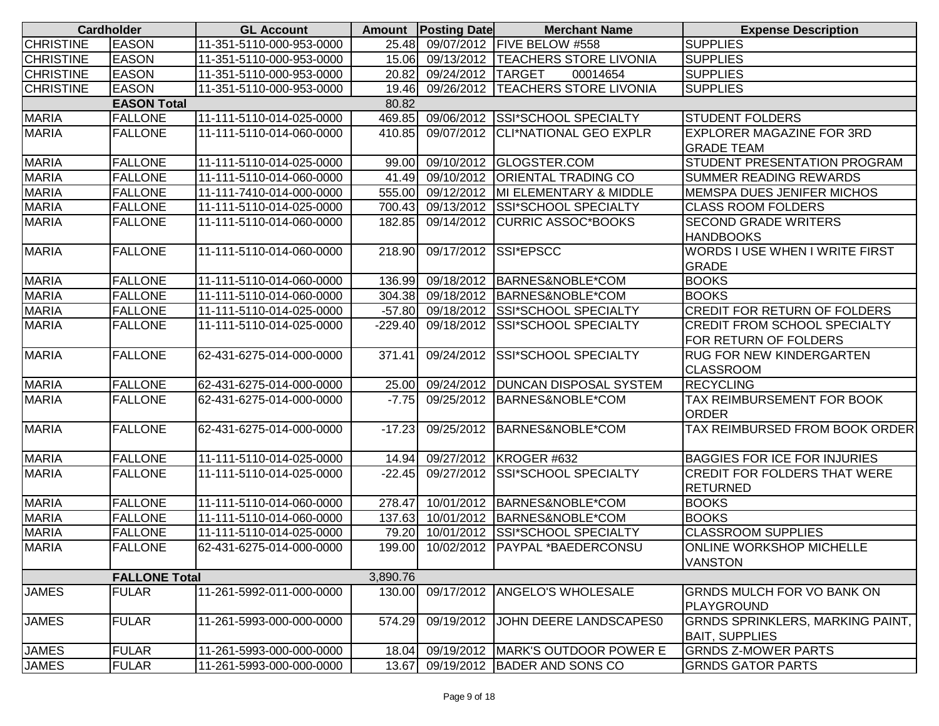|                  | <b>Cardholder</b>    | <b>GL Account</b>        |           | <b>Amount Posting Date</b> | <b>Merchant Name</b>                | <b>Expense Description</b>              |
|------------------|----------------------|--------------------------|-----------|----------------------------|-------------------------------------|-----------------------------------------|
| <b>CHRISTINE</b> | <b>EASON</b>         | 11-351-5110-000-953-0000 | 25.48     |                            | 09/07/2012 FIVE BELOW #558          | <b>SUPPLIES</b>                         |
| <b>CHRISTINE</b> | <b>EASON</b>         | 11-351-5110-000-953-0000 | 15.06     |                            | 09/13/2012   TEACHERS STORE LIVONIA | <b>SUPPLIES</b>                         |
| <b>CHRISTINE</b> | <b>EASON</b>         | 11-351-5110-000-953-0000 | 20.82     | 09/24/2012 TARGET          | 00014654                            | <b>SUPPLIES</b>                         |
| <b>CHRISTINE</b> | <b>EASON</b>         | 11-351-5110-000-953-0000 | 19.46     |                            | 09/26/2012   TEACHERS STORE LIVONIA | <b>SUPPLIES</b>                         |
|                  | <b>EASON Total</b>   |                          | 80.82     |                            |                                     |                                         |
| <b>MARIA</b>     | <b>FALLONE</b>       | 11-111-5110-014-025-0000 | 469.85    |                            | 09/06/2012 SSI*SCHOOL SPECIALTY     | <b>STUDENT FOLDERS</b>                  |
| <b>MARIA</b>     | <b>FALLONE</b>       | 11-111-5110-014-060-0000 | 410.85    | 09/07/2012                 | <b>CLI*NATIONAL GEO EXPLR</b>       | <b>EXPLORER MAGAZINE FOR 3RD</b>        |
|                  |                      |                          |           |                            |                                     | <b>GRADE TEAM</b>                       |
| <b>MARIA</b>     | <b>FALLONE</b>       | 11-111-5110-014-025-0000 | 99.00     |                            | 09/10/2012 GLOGSTER.COM             | STUDENT PRESENTATION PROGRAM            |
| <b>MARIA</b>     | <b>FALLONE</b>       | 11-111-5110-014-060-0000 | 41.49     |                            | 09/10/2012 ORIENTAL TRADING CO      | <b>SUMMER READING REWARDS</b>           |
| <b>MARIA</b>     | <b>FALLONE</b>       | 11-111-7410-014-000-0000 | 555.00    |                            | 09/12/2012 MI ELEMENTARY & MIDDLE   | <b>MEMSPA DUES JENIFER MICHOS</b>       |
| <b>MARIA</b>     | <b>FALLONE</b>       | 11-111-5110-014-025-0000 | 700.43    | 09/13/2012                 | <b>SSI*SCHOOL SPECIALTY</b>         | <b>CLASS ROOM FOLDERS</b>               |
| <b>MARIA</b>     | <b>FALLONE</b>       | 11-111-5110-014-060-0000 | 182.85    | 09/14/2012                 | <b>CURRIC ASSOC*BOOKS</b>           | <b>SECOND GRADE WRITERS</b>             |
|                  |                      |                          |           |                            |                                     | <b>HANDBOOKS</b>                        |
| <b>MARIA</b>     | <b>FALLONE</b>       | 11-111-5110-014-060-0000 | 218.90    | 09/17/2012 SSI*EPSCC       |                                     | <b>WORDS I USE WHEN I WRITE FIRST</b>   |
|                  |                      |                          |           |                            |                                     | <b>GRADE</b>                            |
| <b>MARIA</b>     | <b>FALLONE</b>       | 11-111-5110-014-060-0000 | 136.99    | 09/18/2012                 | BARNES&NOBLE*COM                    | <b>BOOKS</b>                            |
| <b>MARIA</b>     | <b>FALLONE</b>       | 11-111-5110-014-060-0000 | 304.38    | 09/18/2012                 | BARNES&NOBLE*COM                    | <b>BOOKS</b>                            |
| <b>MARIA</b>     | <b>FALLONE</b>       | 11-111-5110-014-025-0000 | $-57.80$  | 09/18/2012                 | <b>SSI*SCHOOL SPECIALTY</b>         | <b>CREDIT FOR RETURN OF FOLDERS</b>     |
| <b>MARIA</b>     | <b>FALLONE</b>       | 11-111-5110-014-025-0000 | $-229.40$ | 09/18/2012                 | <b>SSI*SCHOOL SPECIALTY</b>         | <b>CREDIT FROM SCHOOL SPECIALTY</b>     |
|                  |                      |                          |           |                            |                                     | FOR RETURN OF FOLDERS                   |
| <b>MARIA</b>     | <b>FALLONE</b>       | 62-431-6275-014-000-0000 | 371.41    | 09/24/2012                 | <b>SSI*SCHOOL SPECIALTY</b>         | <b>RUG FOR NEW KINDERGARTEN</b>         |
|                  |                      |                          |           |                            |                                     | <b>CLASSROOM</b>                        |
| <b>MARIA</b>     | <b>FALLONE</b>       | 62-431-6275-014-000-0000 | 25.00     |                            | 09/24/2012   DUNCAN DISPOSAL SYSTEM | <b>RECYCLING</b>                        |
| <b>MARIA</b>     | <b>FALLONE</b>       | 62-431-6275-014-000-0000 | $-7.75$   | 09/25/2012                 | BARNES&NOBLE*COM                    | TAX REIMBURSEMENT FOR BOOK              |
|                  |                      |                          |           |                            |                                     | <b>ORDER</b>                            |
| <b>MARIA</b>     | <b>FALLONE</b>       | 62-431-6275-014-000-0000 | $-17.23$  | 09/25/2012                 | BARNES&NOBLE*COM                    | TAX REIMBURSED FROM BOOK ORDER          |
|                  |                      |                          |           |                            |                                     |                                         |
| <b>MARIA</b>     | <b>FALLONE</b>       | 11-111-5110-014-025-0000 | 14.94     |                            | 09/27/2012 KROGER #632              | <b>BAGGIES FOR ICE FOR INJURIES</b>     |
| <b>MARIA</b>     | <b>FALLONE</b>       | 11-111-5110-014-025-0000 | $-22.45$  | 09/27/2012                 | <b>SSI*SCHOOL SPECIALTY</b>         | <b>CREDIT FOR FOLDERS THAT WERE</b>     |
|                  |                      |                          |           |                            |                                     | <b>RETURNED</b>                         |
| <b>MARIA</b>     | <b>FALLONE</b>       | 11-111-5110-014-060-0000 | 278.47    | 10/01/2012                 | BARNES&NOBLE*COM                    | <b>BOOKS</b>                            |
| <b>MARIA</b>     | <b>FALLONE</b>       | 11-111-5110-014-060-0000 | 137.63    |                            | 10/01/2012 BARNES&NOBLE*COM         | <b>BOOKS</b>                            |
| <b>MARIA</b>     | <b>FALLONE</b>       | 11-111-5110-014-025-0000 | 79.20     |                            | 10/01/2012 SSI*SCHOOL SPECIALTY     | <b>CLASSROOM SUPPLIES</b>               |
| <b>MARIA</b>     | <b>FALLONE</b>       | 62-431-6275-014-000-0000 | 199.00    |                            | 10/02/2012   PAYPAL * BAEDERCONSU   | <b>ONLINE WORKSHOP MICHELLE</b>         |
|                  |                      |                          |           |                            |                                     | <b>VANSTON</b>                          |
|                  | <b>FALLONE Total</b> |                          | 3,890.76  |                            |                                     |                                         |
| <b>JAMES</b>     | <b>FULAR</b>         | 11-261-5992-011-000-0000 | 130.00    | 09/17/2012                 | ANGELO'S WHOLESALE                  | <b>GRNDS MULCH FOR VO BANK ON</b>       |
|                  |                      |                          |           |                            |                                     | PLAYGROUND                              |
| <b>JAMES</b>     | <b>FULAR</b>         | 11-261-5993-000-000-0000 | 574.29    | 09/19/2012                 | JOHN DEERE LANDSCAPES0              | <b>GRNDS SPRINKLERS, MARKING PAINT,</b> |
|                  |                      |                          |           |                            |                                     | <b>BAIT, SUPPLIES</b>                   |
| <b>JAMES</b>     | <b>FULAR</b>         | 11-261-5993-000-000-0000 | 18.04     |                            | 09/19/2012   MARK'S OUTDOOR POWER E | <b>GRNDS Z-MOWER PARTS</b>              |
| <b>JAMES</b>     | <b>FULAR</b>         | 11-261-5993-000-000-0000 | 13.67     |                            | 09/19/2012 BADER AND SONS CO        | <b>GRNDS GATOR PARTS</b>                |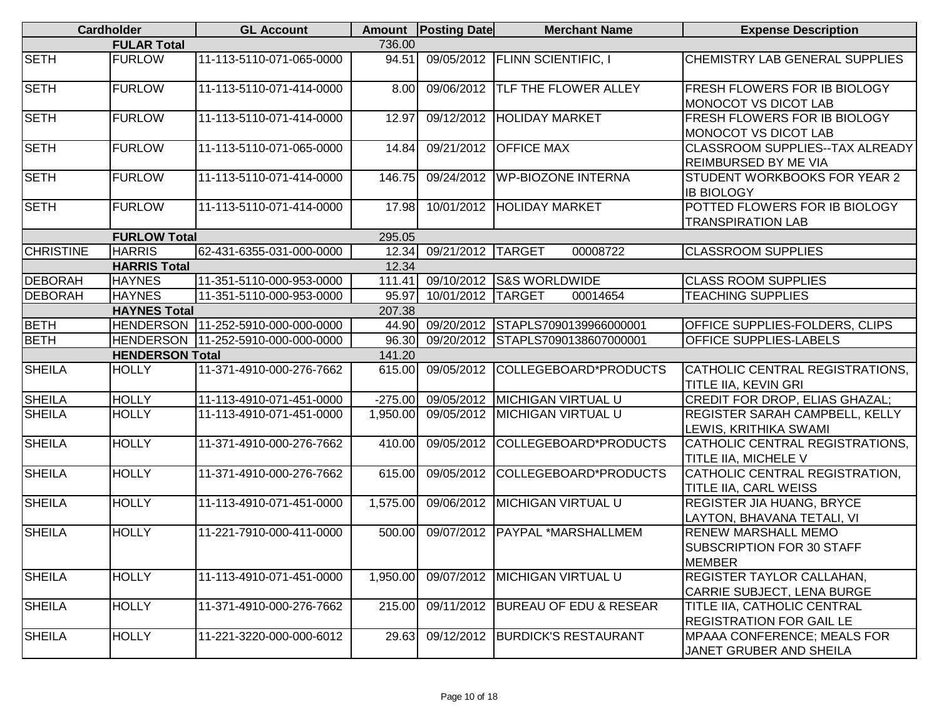|                               | <b>Cardholder</b>      | <b>GL Account</b>                    |           | Amount   Posting Date | <b>Merchant Name</b>              | <b>Expense Description</b>                                                      |  |  |
|-------------------------------|------------------------|--------------------------------------|-----------|-----------------------|-----------------------------------|---------------------------------------------------------------------------------|--|--|
|                               | <b>FULAR Total</b>     |                                      | 736.00    |                       |                                   |                                                                                 |  |  |
| <b>SETH</b>                   | <b>FURLOW</b>          | 11-113-5110-071-065-0000             | 94.51     | 09/05/2012            | <b>FLINN SCIENTIFIC, I</b>        | <b>CHEMISTRY LAB GENERAL SUPPLIES</b>                                           |  |  |
| <b>SETH</b>                   | <b>FURLOW</b>          | 11-113-5110-071-414-0000             | 8.00      | 09/06/2012            | <b>TLF THE FLOWER ALLEY</b>       | <b>FRESH FLOWERS FOR IB BIOLOGY</b><br><b>MONOCOT VS DICOT LAB</b>              |  |  |
| <b>SETH</b>                   | <b>FURLOW</b>          | 11-113-5110-071-414-0000             | 12.97     | 09/12/2012            | <b>HOLIDAY MARKET</b>             | <b>FRESH FLOWERS FOR IB BIOLOGY</b><br>MONOCOT VS DICOT LAB                     |  |  |
| <b>SETH</b>                   | <b>FURLOW</b>          | 11-113-5110-071-065-0000             | 14.84     | 09/21/2012            | <b>OFFICE MAX</b>                 | <b>CLASSROOM SUPPLIES--TAX ALREADY</b><br><b>REIMBURSED BY ME VIA</b>           |  |  |
| <b>SETH</b>                   | <b>FURLOW</b>          | 11-113-5110-071-414-0000             | 146.75    | 09/24/2012            | <b>WP-BIOZONE INTERNA</b>         | STUDENT WORKBOOKS FOR YEAR 2<br><b>IB BIOLOGY</b>                               |  |  |
| <b>SETH</b>                   | <b>FURLOW</b>          | 11-113-5110-071-414-0000             | 17.98     | 10/01/2012            | <b>HOLIDAY MARKET</b>             | POTTED FLOWERS FOR IB BIOLOGY<br><b>TRANSPIRATION LAB</b>                       |  |  |
|                               | <b>FURLOW Total</b>    |                                      | 295.05    |                       |                                   |                                                                                 |  |  |
| <b>CHRISTINE</b>              | <b>HARRIS</b>          | 62-431-6355-031-000-0000             | 12.34     | 09/21/2012 TARGET     | 00008722                          | <b>CLASSROOM SUPPLIES</b>                                                       |  |  |
|                               | <b>HARRIS Total</b>    |                                      | 12.34     |                       |                                   |                                                                                 |  |  |
| <b>DEBORAH</b>                | <b>HAYNES</b>          | 11-351-5110-000-953-0000             | 111.41    | 09/10/2012            | <b>S&amp;S WORLDWIDE</b>          | <b>CLASS ROOM SUPPLIES</b>                                                      |  |  |
| <b>DEBORAH</b>                | <b>HAYNES</b>          | 11-351-5110-000-953-0000             | 95.97     | 10/01/2012            | <b>TARGET</b><br>00014654         | <b>TEACHING SUPPLIES</b>                                                        |  |  |
| 207.38<br><b>HAYNES Total</b> |                        |                                      |           |                       |                                   |                                                                                 |  |  |
| <b>BETH</b>                   |                        | HENDERSON   11-252-5910-000-000-0000 | 44.90     | 09/20/2012            | STAPLS7090139966000001            | OFFICE SUPPLIES-FOLDERS, CLIPS                                                  |  |  |
| <b>BETH</b>                   |                        | HENDERSON 11-252-5910-000-000-0000   | 96.30     |                       | 09/20/2012 STAPLS7090138607000001 | <b>OFFICE SUPPLIES-LABELS</b>                                                   |  |  |
|                               | <b>HENDERSON Total</b> |                                      | 141.20    |                       |                                   |                                                                                 |  |  |
| <b>SHEILA</b>                 | <b>HOLLY</b>           | 11-371-4910-000-276-7662             | 615.00    | 09/05/2012            | COLLEGEBOARD*PRODUCTS             | CATHOLIC CENTRAL REGISTRATIONS,<br>TITLE IIA, KEVIN GRI                         |  |  |
| <b>SHEILA</b>                 | <b>HOLLY</b>           | 11-113-4910-071-451-0000             | $-275.00$ | 09/05/2012            | <b>MICHIGAN VIRTUAL U</b>         | CREDIT FOR DROP, ELIAS GHAZAL;                                                  |  |  |
| <b>SHEILA</b>                 | <b>HOLLY</b>           | 11-113-4910-071-451-0000             | 1,950.00  | 09/05/2012            | <b>MICHIGAN VIRTUAL U</b>         | <b>REGISTER SARAH CAMPBELL, KELLY</b><br>LEWIS, KRITHIKA SWAMI                  |  |  |
| <b>SHEILA</b>                 | <b>HOLLY</b>           | 11-371-4910-000-276-7662             | 410.00    | 09/05/2012            | COLLEGEBOARD*PRODUCTS             | CATHOLIC CENTRAL REGISTRATIONS,<br>TITLE IIA, MICHELE V                         |  |  |
| <b>SHEILA</b>                 | <b>HOLLY</b>           | 11-371-4910-000-276-7662             | 615.00    | 09/05/2012            | COLLEGEBOARD*PRODUCTS             | CATHOLIC CENTRAL REGISTRATION,<br>TITLE IIA, CARL WEISS                         |  |  |
| <b>SHEILA</b>                 | <b>HOLLY</b>           | 11-113-4910-071-451-0000             | 1,575.00  | 09/06/2012            | <b>MICHIGAN VIRTUAL U</b>         | <b>REGISTER JIA HUANG, BRYCE</b><br>LAYTON, BHAVANA TETALI, VI                  |  |  |
| <b>SHEILA</b>                 | <b>HOLLY</b>           | 11-221-7910-000-411-0000             | 500.00    | 09/07/2012            | PAYPAL *MARSHALLMEM               | <b>RENEW MARSHALL MEMO</b><br><b>SUBSCRIPTION FOR 30 STAFF</b><br><b>MEMBER</b> |  |  |
| <b>SHEILA</b>                 | <b>HOLLY</b>           | 11-113-4910-071-451-0000             | 1,950.00  | 09/07/2012            | <b>MICHIGAN VIRTUAL U</b>         | REGISTER TAYLOR CALLAHAN,<br>CARRIE SUBJECT, LENA BURGE                         |  |  |
| <b>SHEILA</b>                 | <b>HOLLY</b>           | 11-371-4910-000-276-7662             | 215.00    | 09/11/2012            | <b>BUREAU OF EDU &amp; RESEAR</b> | <b>TITLE IIA, CATHOLIC CENTRAL</b><br><b>REGISTRATION FOR GAIL LE</b>           |  |  |
| <b>SHEILA</b>                 | <b>HOLLY</b>           | 11-221-3220-000-000-6012             | 29.63     | 09/12/2012            | <b>BURDICK'S RESTAURANT</b>       | MPAAA CONFERENCE; MEALS FOR<br>JANET GRUBER AND SHEILA                          |  |  |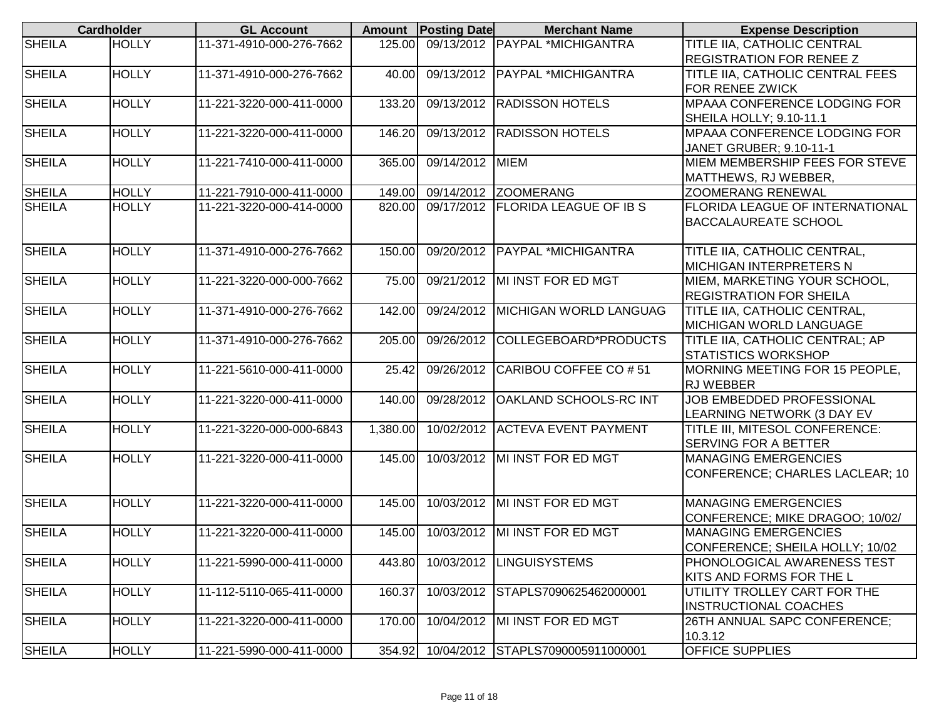|               | <b>Cardholder</b> | <b>GL Account</b>        |          | <b>Amount</b> Posting Date | <b>Merchant Name</b>                | <b>Expense Description</b>          |
|---------------|-------------------|--------------------------|----------|----------------------------|-------------------------------------|-------------------------------------|
| <b>SHEILA</b> | <b>HOLLY</b>      | 11-371-4910-000-276-7662 | 125.00   |                            | 09/13/2012 PAYPAL *MICHIGANTRA      | TITLE IIA, CATHOLIC CENTRAL         |
|               |                   |                          |          |                            |                                     | <b>REGISTRATION FOR RENEE Z</b>     |
| <b>SHEILA</b> | <b>HOLLY</b>      | 11-371-4910-000-276-7662 | 40.00    |                            | 09/13/2012   PAYPAL *MICHIGANTRA    | TITLE IIA, CATHOLIC CENTRAL FEES    |
|               |                   |                          |          |                            |                                     | FOR RENEE ZWICK                     |
| <b>SHEILA</b> | <b>HOLLY</b>      | 11-221-3220-000-411-0000 | 133.20   |                            | 09/13/2012 RADISSON HOTELS          | MPAAA CONFERENCE LODGING FOR        |
|               |                   |                          |          |                            |                                     | SHEILA HOLLY; 9.10-11.1             |
| <b>SHEILA</b> | <b>HOLLY</b>      | 11-221-3220-000-411-0000 | 146.20   | 09/13/2012                 | <b>RADISSON HOTELS</b>              | <b>MPAAA CONFERENCE LODGING FOR</b> |
|               |                   |                          |          |                            |                                     | JANET GRUBER; 9.10-11-1             |
| <b>SHEILA</b> | <b>HOLLY</b>      | 11-221-7410-000-411-0000 | 365.00   | 09/14/2012 MIEM            |                                     | MIEM MEMBERSHIP FEES FOR STEVE      |
|               |                   |                          |          |                            |                                     | MATTHEWS, RJ WEBBER,                |
| <b>SHEILA</b> | <b>HOLLY</b>      | 11-221-7910-000-411-0000 | 149.00   |                            | 09/14/2012 ZOOMERANG                | <b>ZOOMERANG RENEWAL</b>            |
| <b>SHEILA</b> | <b>HOLLY</b>      | 11-221-3220-000-414-0000 | 820.00   |                            | 09/17/2012   FLORIDA LEAGUE OF IB S | FLORIDA LEAGUE OF INTERNATIONAL     |
|               |                   |                          |          |                            |                                     | <b>BACCALAUREATE SCHOOL</b>         |
|               |                   |                          |          |                            |                                     |                                     |
| <b>SHEILA</b> | <b>HOLLY</b>      | 11-371-4910-000-276-7662 | 150.00   |                            | 09/20/2012   PAYPAL *MICHIGANTRA    | TITLE IIA, CATHOLIC CENTRAL,        |
|               |                   |                          |          |                            |                                     | <b>MICHIGAN INTERPRETERS N</b>      |
| <b>SHEILA</b> | <b>HOLLY</b>      | 11-221-3220-000-000-7662 | 75.00    | 09/21/2012                 | MI INST FOR ED MGT                  | MIEM, MARKETING YOUR SCHOOL,        |
|               |                   |                          |          |                            |                                     | <b>REGISTRATION FOR SHEILA</b>      |
| <b>SHEILA</b> | <b>HOLLY</b>      | 11-371-4910-000-276-7662 | 142.00   | 09/24/2012                 | <b>MICHIGAN WORLD LANGUAG</b>       | TITLE IIA, CATHOLIC CENTRAL,        |
|               |                   |                          |          |                            |                                     | MICHIGAN WORLD LANGUAGE             |
| <b>SHEILA</b> | <b>HOLLY</b>      | 11-371-4910-000-276-7662 | 205.00   | 09/26/2012                 | COLLEGEBOARD*PRODUCTS               | TITLE IIA, CATHOLIC CENTRAL; AP     |
|               |                   |                          |          |                            |                                     | <b>STATISTICS WORKSHOP</b>          |
| <b>SHEILA</b> | <b>HOLLY</b>      | 11-221-5610-000-411-0000 | 25.42    | 09/26/2012                 | CARIBOU COFFEE CO # 51              | MORNING MEETING FOR 15 PEOPLE,      |
|               |                   |                          |          |                            |                                     | <b>RJ WEBBER</b>                    |
| <b>SHEILA</b> | <b>HOLLY</b>      | 11-221-3220-000-411-0000 | 140.00   | 09/28/2012                 | <b>OAKLAND SCHOOLS-RC INT</b>       | JOB EMBEDDED PROFESSIONAL           |
|               |                   |                          |          |                            |                                     | LEARNING NETWORK (3 DAY EV          |
| <b>SHEILA</b> | <b>HOLLY</b>      | 11-221-3220-000-000-6843 | 1,380.00 |                            | 10/02/2012 ACTEVA EVENT PAYMENT     | TITLE III, MITESOL CONFERENCE:      |
|               |                   |                          |          |                            |                                     | <b>SERVING FOR A BETTER</b>         |
| <b>SHEILA</b> | <b>HOLLY</b>      | 11-221-3220-000-411-0000 | 145.00   |                            | 10/03/2012 MI INST FOR ED MGT       | <b>MANAGING EMERGENCIES</b>         |
|               |                   |                          |          |                            |                                     | CONFERENCE; CHARLES LACLEAR; 10     |
|               |                   |                          |          |                            |                                     |                                     |
| <b>SHEILA</b> | <b>HOLLY</b>      | 11-221-3220-000-411-0000 | 145.00   |                            | 10/03/2012 MI INST FOR ED MGT       | <b>MANAGING EMERGENCIES</b>         |
|               |                   |                          |          |                            |                                     | CONFERENCE; MIKE DRAGOO; 10/02/     |
| <b>SHEILA</b> | <b>HOLLY</b>      | 11-221-3220-000-411-0000 | 145.00   |                            | 10/03/2012 MI INST FOR ED MGT       | <b>MANAGING EMERGENCIES</b>         |
|               |                   |                          |          |                            |                                     | CONFERENCE; SHEILA HOLLY; 10/02     |
| <b>SHEILA</b> | <b>HOLLY</b>      | 11-221-5990-000-411-0000 | 443.80   |                            | 10/03/2012  LINGUISYSTEMS           | <b>PHONOLOGICAL AWARENESS TEST</b>  |
|               |                   |                          |          |                            |                                     | KITS AND FORMS FOR THE L            |
| <b>SHEILA</b> | <b>HOLLY</b>      | 11-112-5110-065-411-0000 | 160.37   |                            | 10/03/2012 STAPLS7090625462000001   | UTILITY TROLLEY CART FOR THE        |
|               |                   |                          |          |                            |                                     | <b>INSTRUCTIONAL COACHES</b>        |
| <b>SHEILA</b> | <b>HOLLY</b>      | 11-221-3220-000-411-0000 | 170.00   |                            | 10/04/2012 MI INST FOR ED MGT       | 26TH ANNUAL SAPC CONFERENCE;        |
|               |                   |                          |          |                            |                                     | 10.3.12                             |
| <b>SHEILA</b> | <b>HOLLY</b>      | 11-221-5990-000-411-0000 | 354.92   |                            | 10/04/2012 STAPLS7090005911000001   | <b>OFFICE SUPPLIES</b>              |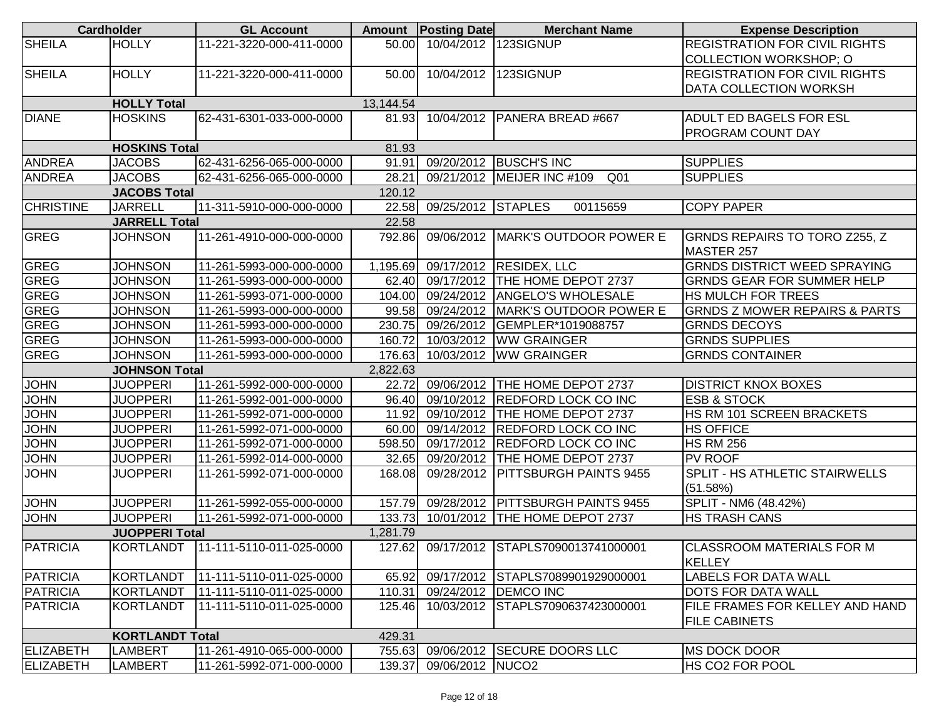|                            | <b>Cardholder</b>                       | <b>GL Account</b>                                    |           | <b>Amount</b> Posting Date | <b>Merchant Name</b>                                         | <b>Expense Description</b>                         |
|----------------------------|-----------------------------------------|------------------------------------------------------|-----------|----------------------------|--------------------------------------------------------------|----------------------------------------------------|
| <b>SHEILA</b>              | <b>HOLLY</b>                            | 11-221-3220-000-411-0000                             | 50.00     | 10/04/2012 123SIGNUP       |                                                              | <b>REGISTRATION FOR CIVIL RIGHTS</b>               |
|                            |                                         |                                                      |           |                            |                                                              | COLLECTION WORKSHOP; O                             |
| <b>SHEILA</b>              | <b>HOLLY</b>                            | 11-221-3220-000-411-0000                             | 50.00     | 10/04/2012                 | 123SIGNUP                                                    | <b>REGISTRATION FOR CIVIL RIGHTS</b>               |
|                            |                                         |                                                      |           |                            |                                                              | DATA COLLECTION WORKSH                             |
|                            | <b>HOLLY Total</b>                      |                                                      | 13,144.54 |                            |                                                              |                                                    |
| <b>DIANE</b>               | <b>HOSKINS</b>                          | 62-431-6301-033-000-0000                             | 81.93     |                            | 10/04/2012   PANERA BREAD #667                               | <b>ADULT ED BAGELS FOR ESL</b>                     |
|                            |                                         |                                                      |           |                            |                                                              | <b>PROGRAM COUNT DAY</b>                           |
|                            | <b>HOSKINS Total</b>                    |                                                      | 81.93     |                            |                                                              |                                                    |
| <b>ANDREA</b>              | <b>JACOBS</b>                           | 62-431-6256-065-000-0000                             | 91.91     |                            | 09/20/2012 BUSCH'S INC                                       | <b>SUPPLIES</b>                                    |
| <b>ANDREA</b>              | <b>JACOBS</b>                           | 62-431-6256-065-000-0000                             | 28.21     |                            | 09/21/2012 MEIJER INC #109<br>Q <sub>01</sub>                | <b>SUPPLIES</b>                                    |
|                            | <b>JACOBS Total</b>                     |                                                      | 120.12    |                            |                                                              |                                                    |
| <b>CHRISTINE</b>           | <b>JARRELL</b>                          | 11-311-5910-000-000-0000                             | 22.58     | 09/25/2012 STAPLES         | 00115659                                                     | <b>COPY PAPER</b>                                  |
|                            | <b>JARRELL Total</b>                    |                                                      | 22.58     |                            |                                                              |                                                    |
| <b>GREG</b>                | <b>JOHNSON</b>                          | 11-261-4910-000-000-0000                             | 792.86    | 09/06/2012                 | MARK'S OUTDOOR POWER E                                       | <b>GRNDS REPAIRS TO TORO Z255, Z</b><br>MASTER 257 |
| <b>GREG</b>                | <b>JOHNSON</b>                          | 11-261-5993-000-000-0000                             | 1,195.69  |                            | 09/17/2012 RESIDEX, LLC                                      | <b>GRNDS DISTRICT WEED SPRAYING</b>                |
| GREG                       | <b>JOHNSON</b>                          | 11-261-5993-000-000-0000                             | 62.40     |                            | 09/17/2012 THE HOME DEPOT 2737                               | <b>GRNDS GEAR FOR SUMMER HELP</b>                  |
| <b>GREG</b>                | <b>JOHNSON</b>                          | 11-261-5993-071-000-0000                             | 104.00    |                            | 09/24/2012 ANGELO'S WHOLESALE                                | HS MULCH FOR TREES                                 |
| <b>GREG</b>                | <b>JOHNSON</b>                          | 11-261-5993-000-000-0000                             | 99.58     |                            | 09/24/2012   MARK'S OUTDOOR POWER E                          | <b>GRNDS Z MOWER REPAIRS &amp; PARTS</b>           |
| <b>GREG</b>                | <b>JOHNSON</b>                          | 11-261-5993-000-000-0000                             | 230.75    |                            | 09/26/2012 GEMPLER*1019088757                                | <b>GRNDS DECOYS</b>                                |
| <b>GREG</b>                | <b>JOHNSON</b>                          | 11-261-5993-000-000-0000                             | 160.72    |                            | 10/03/2012 WW GRAINGER                                       | <b>GRNDS SUPPLIES</b>                              |
| <b>GREG</b>                | <b>JOHNSON</b>                          | 11-261-5993-000-000-0000                             | 176.63    |                            | 10/03/2012   WW GRAINGER                                     | <b>GRNDS CONTAINER</b>                             |
|                            |                                         |                                                      | 2,822.63  |                            |                                                              |                                                    |
| <b>JOHN</b>                | <b>JOHNSON Total</b><br><b>JUOPPERI</b> | 11-261-5992-000-000-0000                             | 22.72     |                            | 09/06/2012   THE HOME DEPOT 2737                             | <b>DISTRICT KNOX BOXES</b>                         |
| <b>JOHN</b>                | <b>JUOPPERI</b>                         | 11-261-5992-001-000-0000                             | 96.40     | 09/10/2012                 | <b>REDFORD LOCK CO INC</b>                                   | <b>ESB &amp; STOCK</b>                             |
| <b>JOHN</b>                | <b>JUOPPERI</b>                         | 11-261-5992-071-000-0000                             | 11.92     | 09/10/2012                 | THE HOME DEPOT 2737                                          | HS RM 101 SCREEN BRACKETS                          |
|                            |                                         |                                                      | 60.00     |                            |                                                              |                                                    |
| <b>JOHN</b><br><b>JOHN</b> | <b>JUOPPERI</b><br><b>JUOPPERI</b>      | 11-261-5992-071-000-0000                             | 598.50    | 09/17/2012                 | 09/14/2012 REDFORD LOCK CO INC<br><b>REDFORD LOCK CO INC</b> | <b>HS OFFICE</b>                                   |
| <b>JOHN</b>                | <b>JUOPPERI</b>                         | 11-261-5992-071-000-0000<br>11-261-5992-014-000-0000 | 32.65     | 09/20/2012                 | THE HOME DEPOT 2737                                          | <b>HS RM 256</b><br><b>PV ROOF</b>                 |
| <b>JOHN</b>                |                                         |                                                      |           | 09/28/2012                 | PITTSBURGH PAINTS 9455                                       | <b>SPLIT - HS ATHLETIC STAIRWELLS</b>              |
|                            | <b>JUOPPERI</b>                         | 11-261-5992-071-000-0000                             | 168.08    |                            |                                                              | (51.58%)                                           |
| <b>JOHN</b>                | <b>JUOPPERI</b>                         | 11-261-5992-055-000-0000                             | 157.79    | 09/28/2012                 | <b>PITTSBURGH PAINTS 9455</b>                                | SPLIT - NM6 (48.42%)                               |
| <b>JOHN</b>                | <b>JUOPPERI</b>                         | 11-261-5992-071-000-0000                             | 133.73    |                            | 10/01/2012 THE HOME DEPOT 2737                               | <b>HS TRASH CANS</b>                               |
|                            | <b>JUOPPERI Total</b>                   |                                                      | 1,281.79  |                            |                                                              |                                                    |
| <b>PATRICIA</b>            |                                         |                                                      |           |                            | 127.62 09/17/2012 STAPLS7090013741000001                     | ICLASSROOM MATERIALS FOR M<br><b>KELLEY</b>        |
| PATRICIA                   | <b>KORTLANDT</b>                        | 11-111-5110-011-025-0000                             | 65.92     |                            | 09/17/2012 STAPLS7089901929000001                            | LABELS FOR DATA WALL                               |
| PATRICIA                   | <b>KORTLANDT</b>                        | 11-111-5110-011-025-0000                             | 110.31    |                            | 09/24/2012   DEMCO INC                                       | <b>DOTS FOR DATA WALL</b>                          |
| PATRICIA                   | <b>KORTLANDT</b>                        | 11-111-5110-011-025-0000                             | 125.46    | 10/03/2012                 | STAPLS7090637423000001                                       | FILE FRAMES FOR KELLEY AND HAND                    |
|                            |                                         |                                                      |           |                            |                                                              | <b>FILE CABINETS</b>                               |
|                            | <b>KORTLANDT Total</b>                  |                                                      | 429.31    |                            |                                                              |                                                    |
| ELIZABETH                  | LAMBERT                                 | 11-261-4910-065-000-0000                             | 755.63    |                            | 09/06/2012 SECURE DOORS LLC                                  | <b>MS DOCK DOOR</b>                                |
| <b>ELIZABETH</b>           | <b>LAMBERT</b>                          | 11-261-5992-071-000-0000                             | 139.37    | 09/06/2012 NUCO2           |                                                              | HS CO <sub>2</sub> FOR POOL                        |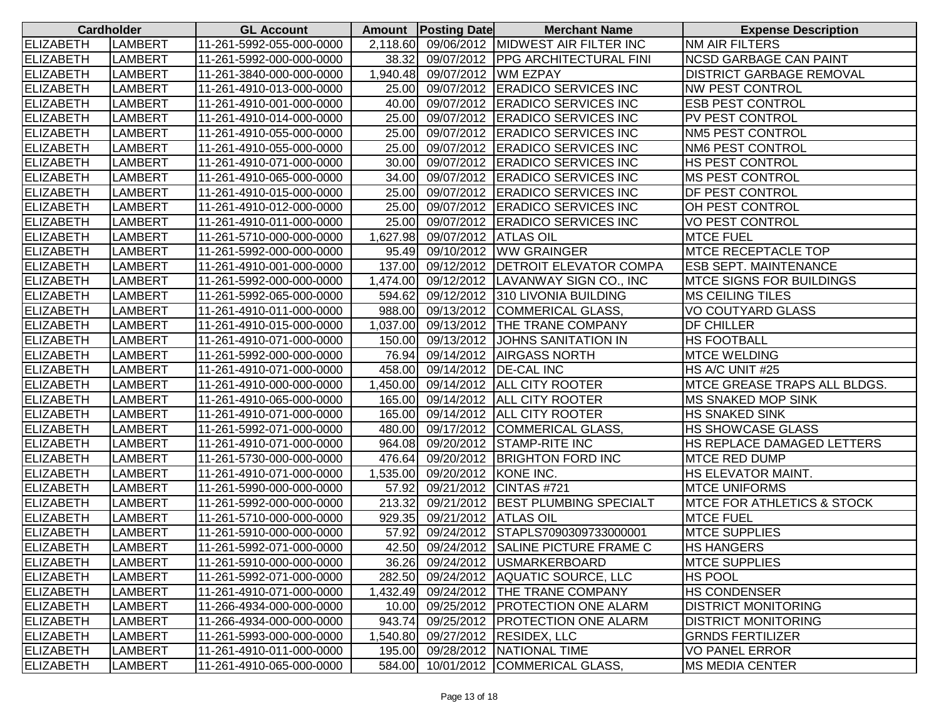| <b>Cardholder</b> |                | <b>GL Account</b>        |          | <b>Amount Posting Date</b> | <b>Merchant Name</b>                       | <b>Expense Description</b>             |
|-------------------|----------------|--------------------------|----------|----------------------------|--------------------------------------------|----------------------------------------|
| <b>ELIZABETH</b>  | LAMBERT        | 11-261-5992-055-000-0000 |          |                            | 2,118.60 09/06/2012 MIDWEST AIR FILTER INC | NM AIR FILTERS                         |
| <b>ELIZABETH</b>  | <b>LAMBERT</b> | 11-261-5992-000-000-0000 | 38.32    |                            | 09/07/2012 PPG ARCHITECTURAL FINI          | <b>NCSD GARBAGE CAN PAINT</b>          |
| <b>ELIZABETH</b>  | LAMBERT        | 11-261-3840-000-000-0000 | 1,940.48 | 09/07/2012  WM EZPAY       |                                            | <b>DISTRICT GARBAGE REMOVAL</b>        |
| <b>ELIZABETH</b>  | LAMBERT        | 11-261-4910-013-000-0000 | 25.00    |                            | 09/07/2012 ERADICO SERVICES INC            | <b>NW PEST CONTROL</b>                 |
| <b>ELIZABETH</b>  | LAMBERT        | 11-261-4910-001-000-0000 | 40.00    |                            | 09/07/2012 ERADICO SERVICES INC            | <b>ESB PEST CONTROL</b>                |
| <b>ELIZABETH</b>  | LAMBERT        | 11-261-4910-014-000-0000 | 25.00    |                            | 09/07/2012 ERADICO SERVICES INC            | <b>PV PEST CONTROL</b>                 |
| <b>ELIZABETH</b>  | LAMBERT        | 11-261-4910-055-000-0000 |          |                            | 25.00 09/07/2012 ERADICO SERVICES INC      | <b>NM5 PEST CONTROL</b>                |
| <b>ELIZABETH</b>  | LAMBERT        | 11-261-4910-055-000-0000 |          |                            | 25.00 09/07/2012 ERADICO SERVICES INC      | <b>NM6 PEST CONTROL</b>                |
| <b>ELIZABETH</b>  | LAMBERT        | 11-261-4910-071-000-0000 | 30.00    |                            | 09/07/2012 ERADICO SERVICES INC            | HS PEST CONTROL                        |
| <b>ELIZABETH</b>  | LAMBERT        | 11-261-4910-065-000-0000 | 34.00    |                            | 09/07/2012 ERADICO SERVICES INC            | <b>MS PEST CONTROL</b>                 |
| <b>ELIZABETH</b>  | LAMBERT        | 11-261-4910-015-000-0000 | 25.00    |                            | 09/07/2012 ERADICO SERVICES INC            | <b>DF PEST CONTROL</b>                 |
| <b>ELIZABETH</b>  | LAMBERT        | 11-261-4910-012-000-0000 | 25.00    |                            | 09/07/2012 ERADICO SERVICES INC            | OH PEST CONTROL                        |
| <b>ELIZABETH</b>  | LAMBERT        | 11-261-4910-011-000-0000 | 25.00    |                            | 09/07/2012 ERADICO SERVICES INC            | <b>VO PEST CONTROL</b>                 |
| <b>ELIZABETH</b>  | LAMBERT        | 11-261-5710-000-000-0000 | 1,627.98 | 09/07/2012 ATLAS OIL       |                                            | <b>MTCE FUEL</b>                       |
| <b>ELIZABETH</b>  | LAMBERT        | 11-261-5992-000-000-0000 | 95.49    |                            | 09/10/2012 WW GRAINGER                     | <b>IMTCE RECEPTACLE TOP</b>            |
| <b>ELIZABETH</b>  | LAMBERT        | 11-261-4910-001-000-0000 | 137.00   |                            | 09/12/2012   DETROIT ELEVATOR COMPA        | <b>ESB SEPT. MAINTENANCE</b>           |
| <b>ELIZABETH</b>  | LAMBERT        | 11-261-5992-000-000-0000 | 1,474.00 |                            | 09/12/2012 LAVANWAY SIGN CO., INC          | <b>MTCE SIGNS FOR BUILDINGS</b>        |
| <b>ELIZABETH</b>  | LAMBERT        | 11-261-5992-065-000-0000 | 594.62   |                            | 09/12/2012 310 LIVONIA BUILDING            | <b>MS CEILING TILES</b>                |
| <b>ELIZABETH</b>  | LAMBERT        | 11-261-4910-011-000-0000 | 988.00   |                            | 09/13/2012 COMMERICAL GLASS,               | <b>VO COUTYARD GLASS</b>               |
| <b>ELIZABETH</b>  | <b>LAMBERT</b> | 11-261-4910-015-000-0000 |          |                            | 1,037.00 09/13/2012 THE TRANE COMPANY      | <b>DF CHILLER</b>                      |
| <b>ELIZABETH</b>  | LAMBERT        | 11-261-4910-071-000-0000 | 150.00   |                            | 09/13/2012 JOHNS SANITATION IN             | <b>HS FOOTBALL</b>                     |
| <b>ELIZABETH</b>  | LAMBERT        | 11-261-5992-000-000-0000 |          |                            | 76.94 09/14/2012 AIRGASS NORTH             | <b>MTCE WELDING</b>                    |
| <b>ELIZABETH</b>  | LAMBERT        | 11-261-4910-071-000-0000 | 458.00   | 09/14/2012   DE-CAL INC    |                                            | HS A/C UNIT #25                        |
| <b>ELIZABETH</b>  | LAMBERT        | 11-261-4910-000-000-0000 | 1,450.00 |                            | 09/14/2012 ALL CITY ROOTER                 | MTCE GREASE TRAPS ALL BLDGS.           |
| <b>ELIZABETH</b>  | LAMBERT        | 11-261-4910-065-000-0000 | 165.00   |                            | 09/14/2012 ALL CITY ROOTER                 | <b>IMS SNAKED MOP SINK</b>             |
| <b>ELIZABETH</b>  | LAMBERT        | 11-261-4910-071-000-0000 | 165.00   |                            | 09/14/2012 ALL CITY ROOTER                 | <b>HS SNAKED SINK</b>                  |
| <b>ELIZABETH</b>  | <b>LAMBERT</b> | 11-261-5992-071-000-0000 | 480.00   |                            | 09/17/2012 COMMERICAL GLASS,               | <b>HS SHOWCASE GLASS</b>               |
| <b>ELIZABETH</b>  | LAMBERT        | 11-261-4910-071-000-0000 | 964.08   |                            | 09/20/2012 STAMP-RITE INC                  | HS REPLACE DAMAGED LETTERS             |
| <b>ELIZABETH</b>  | LAMBERT        | 11-261-5730-000-000-0000 | 476.64   |                            | 09/20/2012 BRIGHTON FORD INC               | <b>MTCE RED DUMP</b>                   |
| <b>ELIZABETH</b>  | LAMBERT        | 11-261-4910-071-000-0000 | 1,535.00 | 09/20/2012 KONE INC.       |                                            | <b>HS ELEVATOR MAINT.</b>              |
| <b>ELIZABETH</b>  | LAMBERT        | 11-261-5990-000-000-0000 | 57.92    |                            | 09/21/2012 CINTAS #721                     | <b>MTCE UNIFORMS</b>                   |
| <b>ELIZABETH</b>  | <b>LAMBERT</b> | 11-261-5992-000-000-0000 | 213.32   |                            | 09/21/2012 BEST PLUMBING SPECIALT          | <b>IMTCE FOR ATHLETICS &amp; STOCK</b> |
| <b>ELIZABETH</b>  | LAMBERT        | 11-261-5710-000-000-0000 | 929.35   | 09/21/2012 ATLAS OIL       |                                            | <b>MTCE FUEL</b>                       |
| <b>ELIZABETH</b>  | LAMBERT        | 11-261-5910-000-000-0000 | 57.92    |                            | 09/24/2012 STAPLS7090309733000001          | <b>MTCE SUPPLIES</b>                   |
| <b>ELIZABETH</b>  | <b>LAMBERT</b> | 11-261-5992-071-000-0000 |          |                            | 42.50 09/24/2012 SALINE PICTURE FRAME C    | <b>HS HANGERS</b>                      |
| <b>ELIZABETH</b>  | LAMBERT        | 11-261-5910-000-000-0000 |          |                            | 36.26 09/24/2012 USMARKERBOARD             | <b>MTCE SUPPLIES</b>                   |
| <b>ELIZABETH</b>  | LAMBERT        | 11-261-5992-071-000-0000 | 282.50   |                            | 09/24/2012 AQUATIC SOURCE, LLC             | <b>HS POOL</b>                         |
| <b>ELIZABETH</b>  | <b>LAMBERT</b> | 11-261-4910-071-000-0000 |          |                            | 1,432.49 09/24/2012 THE TRANE COMPANY      | <b>HS CONDENSER</b>                    |
| <b>ELIZABETH</b>  | <b>LAMBERT</b> | 11-266-4934-000-000-0000 | 10.00    |                            | 09/25/2012   PROTECTION ONE ALARM          | <b>DISTRICT MONITORING</b>             |
| <b>ELIZABETH</b>  | <b>LAMBERT</b> | 11-266-4934-000-000-0000 | 943.74   |                            | 09/25/2012   PROTECTION ONE ALARM          | <b>DISTRICT MONITORING</b>             |
| <b>ELIZABETH</b>  | <b>LAMBERT</b> | 11-261-5993-000-000-0000 |          |                            | 1,540.80 09/27/2012 RESIDEX, LLC           | <b>GRNDS FERTILIZER</b>                |
| <b>ELIZABETH</b>  | <b>LAMBERT</b> | 11-261-4910-011-000-0000 |          |                            | 195.00 09/28/2012 NATIONAL TIME            | <b>VO PANEL ERROR</b>                  |
| <b>ELIZABETH</b>  | <b>LAMBERT</b> | 11-261-4910-065-000-0000 |          |                            | 584.00 10/01/2012 COMMERICAL GLASS,        | <b>MS MEDIA CENTER</b>                 |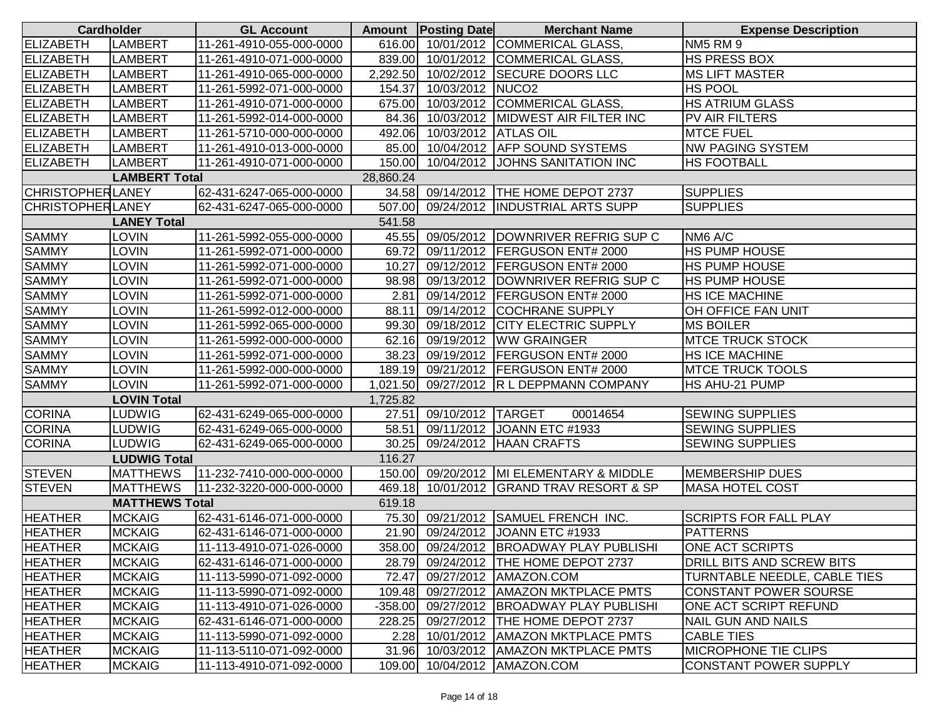| <b>Cardholder</b>       |                       | <b>GL Account</b>        |           | Amount   Posting Date | <b>Merchant Name</b>                     | <b>Expense Description</b>       |
|-------------------------|-----------------------|--------------------------|-----------|-----------------------|------------------------------------------|----------------------------------|
| ELIZABETH               | <b>LAMBERT</b>        | 11-261-4910-055-000-0000 |           |                       | 616.00 10/01/2012 COMMERICAL GLASS,      | <b>NM5 RM 9</b>                  |
| <b>ELIZABETH</b>        | <b>LAMBERT</b>        | 11-261-4910-071-000-0000 |           |                       | 839.00 10/01/2012 COMMERICAL GLASS.      | <b>HS PRESS BOX</b>              |
| <b>ELIZABETH</b>        | <b>LAMBERT</b>        | 11-261-4910-065-000-0000 | 2,292.50  |                       | 10/02/2012 SECURE DOORS LLC              | <b>MS LIFT MASTER</b>            |
| <b>ELIZABETH</b>        | <b>LAMBERT</b>        | 11-261-5992-071-000-0000 | 154.37    | 10/03/2012 NUCO2      |                                          | <b>HS POOL</b>                   |
| <b>ELIZABETH</b>        | <b>LAMBERT</b>        | 11-261-4910-071-000-0000 | 675.00    |                       | 10/03/2012 COMMERICAL GLASS,             | <b>HS ATRIUM GLASS</b>           |
| <b>ELIZABETH</b>        | <b>LAMBERT</b>        | 11-261-5992-014-000-0000 | 84.36     |                       | 10/03/2012 MIDWEST AIR FILTER INC        | PV AIR FILTERS                   |
| <b>ELIZABETH</b>        | <b>LAMBERT</b>        | 11-261-5710-000-000-0000 | 492.06    | 10/03/2012 ATLAS OIL  |                                          | <b>MTCE FUEL</b>                 |
| <b>ELIZABETH</b>        | <b>LAMBERT</b>        | 11-261-4910-013-000-0000 | 85.00     |                       | 10/04/2012 AFP SOUND SYSTEMS             | <b>NW PAGING SYSTEM</b>          |
| <b>ELIZABETH</b>        | <b>LAMBERT</b>        | 11-261-4910-071-000-0000 | 150.00    |                       | 10/04/2012 JOHNS SANITATION INC          | <b>HS FOOTBALL</b>               |
|                         | <b>LAMBERT Total</b>  |                          | 28,860.24 |                       |                                          |                                  |
| <b>CHRISTOPHERLANEY</b> |                       | 62-431-6247-065-000-0000 | 34.58     |                       | 09/14/2012 THE HOME DEPOT 2737           | <b>SUPPLIES</b>                  |
| <b>CHRISTOPHERLANEY</b> |                       | 62-431-6247-065-000-0000 | 507.00    |                       | 09/24/2012  INDUSTRIAL ARTS SUPP         | <b>SUPPLIES</b>                  |
|                         | <b>LANEY Total</b>    |                          | 541.58    |                       |                                          |                                  |
| <b>SAMMY</b>            | <b>LOVIN</b>          | 11-261-5992-055-000-0000 | 45.55     |                       | 09/05/2012  DOWNRIVER REFRIG SUP C       | NM6 A/C                          |
| <b>SAMMY</b>            | <b>LOVIN</b>          | 11-261-5992-071-000-0000 | 69.72     |                       | 09/11/2012 FERGUSON ENT# 2000            | <b>HS PUMP HOUSE</b>             |
| <b>SAMMY</b>            | <b>LOVIN</b>          | 11-261-5992-071-000-0000 | 10.27     |                       | 09/12/2012 FERGUSON ENT# 2000            | <b>HS PUMP HOUSE</b>             |
| <b>SAMMY</b>            | <b>LOVIN</b>          | 11-261-5992-071-000-0000 | 98.98     |                       | 09/13/2012 DOWNRIVER REFRIG SUP C        | <b>HS PUMP HOUSE</b>             |
| <b>SAMMY</b>            | <b>LOVIN</b>          | 11-261-5992-071-000-0000 | 2.81      |                       | 09/14/2012 FERGUSON ENT# 2000            | <b>HS ICE MACHINE</b>            |
| <b>SAMMY</b>            | <b>LOVIN</b>          | 11-261-5992-012-000-0000 | 88.11     |                       | 09/14/2012 COCHRANE SUPPLY               | <b>OH OFFICE FAN UNIT</b>        |
| <b>SAMMY</b>            | <b>LOVIN</b>          | 11-261-5992-065-000-0000 | 99.30     |                       | 09/18/2012 CITY ELECTRIC SUPPLY          | <b>MS BOILER</b>                 |
| <b>SAMMY</b>            | <b>LOVIN</b>          | 11-261-5992-000-000-0000 | 62.16     |                       | 09/19/2012 WW GRAINGER                   | <b>MTCE TRUCK STOCK</b>          |
| <b>SAMMY</b>            | <b>LOVIN</b>          | 11-261-5992-071-000-0000 | 38.23     |                       | 09/19/2012 FERGUSON ENT# 2000            | <b>HS ICE MACHINE</b>            |
| <b>SAMMY</b>            | <b>LOVIN</b>          | 11-261-5992-000-000-0000 | 189.19    |                       | 09/21/2012   FERGUSON ENT# 2000          | <b>MTCE TRUCK TOOLS</b>          |
| <b>SAMMY</b>            | <b>LOVIN</b>          | 11-261-5992-071-000-0000 | 1,021.50  |                       | 09/27/2012 R L DEPPMANN COMPANY          | HS AHU-21 PUMP                   |
|                         | <b>LOVIN Total</b>    |                          | 1,725.82  |                       |                                          |                                  |
| <b>CORINA</b>           | <b>LUDWIG</b>         | 62-431-6249-065-000-0000 | 27.51     | 09/10/2012 TARGET     | 00014654                                 | <b>SEWING SUPPLIES</b>           |
| <b>CORINA</b>           | <b>LUDWIG</b>         | 62-431-6249-065-000-0000 | 58.51     |                       | 09/11/2012 JOANN ETC #1933               | <b>SEWING SUPPLIES</b>           |
| <b>CORINA</b>           | <b>LUDWIG</b>         | 62-431-6249-065-000-0000 | 30.25     |                       | 09/24/2012 HAAN CRAFTS                   | <b>SEWING SUPPLIES</b>           |
|                         | <b>LUDWIG Total</b>   |                          | 116.27    |                       |                                          |                                  |
| <b>STEVEN</b>           | <b>MATTHEWS</b>       | 11-232-7410-000-000-0000 | 150.00    |                       | 09/20/2012 MI ELEMENTARY & MIDDLE        | <b>MEMBERSHIP DUES</b>           |
| <b>STEVEN</b>           | <b>MATTHEWS</b>       | 11-232-3220-000-000-0000 | 469.18    |                       | 10/01/2012 GRAND TRAV RESORT & SP        | <b>MASA HOTEL COST</b>           |
|                         | <b>MATTHEWS Total</b> |                          | 619.18    |                       |                                          |                                  |
| <b>HEATHER</b>          | <b>MCKAIG</b>         | 62-431-6146-071-000-0000 | 75.30     |                       | 09/21/2012 SAMUEL FRENCH INC.            | <b>SCRIPTS FOR FALL PLAY</b>     |
| <b>HEATHER</b>          | <b>MCKAIG</b>         | 62-431-6146-071-000-0000 | 21.90     |                       | 09/24/2012 JOANN ETC #1933               | <b>PATTERNS</b>                  |
| <b>HEATHER</b>          | <b>MCKAIG</b>         | 11-113-4910-071-026-0000 |           |                       | 358.00 09/24/2012 BROADWAY PLAY PUBLISHI | <b>ONE ACT SCRIPTS</b>           |
| <b>HEATHER</b>          | <b>MCKAIG</b>         | 62-431-6146-071-000-0000 | 28.79     |                       | 09/24/2012  THE HOME DEPOT 2737          | <b>DRILL BITS AND SCREW BITS</b> |
| <b>HEATHER</b>          | <b>MCKAIG</b>         | 11-113-5990-071-092-0000 | 72.47     |                       | 09/27/2012 AMAZON.COM                    | TURNTABLE NEEDLE, CABLE TIES     |
| <b>HEATHER</b>          | <b>MCKAIG</b>         | 11-113-5990-071-092-0000 | 109.48    |                       | 09/27/2012 AMAZON MKTPLACE PMTS          | CONSTANT POWER SOURSE            |
| <b>HEATHER</b>          | <b>MCKAIG</b>         | 11-113-4910-071-026-0000 | $-358.00$ |                       | 09/27/2012 BROADWAY PLAY PUBLISHI        | ONE ACT SCRIPT REFUND            |
| <b>HEATHER</b>          | <b>MCKAIG</b>         | 62-431-6146-071-000-0000 | 228.25    |                       | 09/27/2012  THE HOME DEPOT 2737          | NAIL GUN AND NAILS               |
| <b>HEATHER</b>          | <b>MCKAIG</b>         | 11-113-5990-071-092-0000 | 2.28      |                       | 10/01/2012 AMAZON MKTPLACE PMTS          | <b>CABLE TIES</b>                |
| <b>HEATHER</b>          | <b>MCKAIG</b>         | 11-113-5110-071-092-0000 |           |                       | 31.96 10/03/2012 AMAZON MKTPLACE PMTS    | <b>MICROPHONE TIE CLIPS</b>      |
| <b>HEATHER</b>          | <b>MCKAIG</b>         | 11-113-4910-071-092-0000 |           |                       | 109.00 10/04/2012 AMAZON.COM             | CONSTANT POWER SUPPLY            |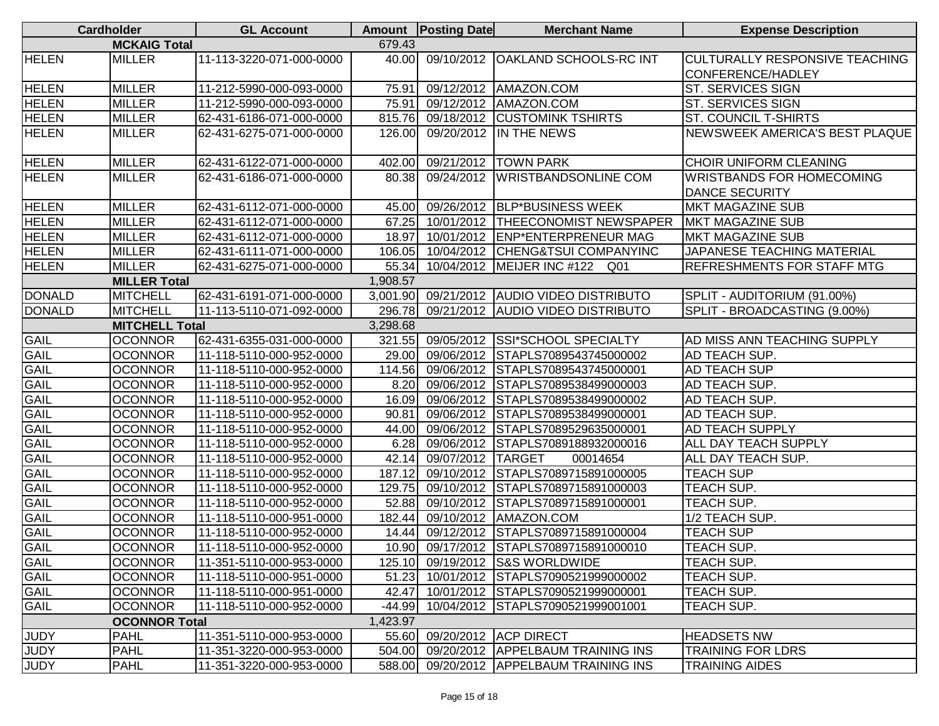|               | <b>Cardholder</b>     | <b>GL Account</b>        |          | Amount   Posting Date       | <b>Merchant Name</b>                     | <b>Expense Description</b>            |
|---------------|-----------------------|--------------------------|----------|-----------------------------|------------------------------------------|---------------------------------------|
|               | <b>MCKAIG Total</b>   |                          | 679.43   |                             |                                          |                                       |
| <b>HELEN</b>  | <b>MILLER</b>         | 11-113-3220-071-000-0000 | 40.00    |                             | 09/10/2012 OAKLAND SCHOOLS-RC INT        | <b>CULTURALLY RESPONSIVE TEACHING</b> |
|               |                       |                          |          |                             |                                          | CONFERENCE/HADLEY                     |
| <b>HELEN</b>  | <b>MILLER</b>         | 11-212-5990-000-093-0000 | 75.91    |                             | 09/12/2012   AMAZON.COM                  | <b>ST. SERVICES SIGN</b>              |
| <b>HELEN</b>  | <b>MILLER</b>         | 11-212-5990-000-093-0000 | 75.91    |                             | 09/12/2012 AMAZON.COM                    | ST. SERVICES SIGN                     |
| <b>HELEN</b>  | <b>MILLER</b>         | 62-431-6186-071-000-0000 | 815.76   |                             | 09/18/2012 CUSTOMINK TSHIRTS             | ST. COUNCIL T-SHIRTS                  |
| <b>HELEN</b>  | <b>MILLER</b>         | 62-431-6275-071-000-0000 | 126.00   |                             | 09/20/2012 IN THE NEWS                   | NEWSWEEK AMERICA'S BEST PLAQUE        |
| <b>HELEN</b>  | <b>MILLER</b>         | 62-431-6122-071-000-0000 | 402.00   |                             | 09/21/2012  TOWN PARK                    | CHOIR UNIFORM CLEANING                |
| <b>HELEN</b>  | <b>MILLER</b>         | 62-431-6186-071-000-0000 | 80.38    | 09/24/2012                  | <b>WRISTBANDSONLINE COM</b>              | <b>WRISTBANDS FOR HOMECOMING</b>      |
|               |                       |                          |          |                             |                                          | <b>DANCE SECURITY</b>                 |
| <b>HELEN</b>  | <b>MILLER</b>         | 62-431-6112-071-000-0000 | 45.00    |                             | 09/26/2012   BLP*BUSINESS WEEK           | MKT MAGAZINE SUB                      |
| <b>HELEN</b>  | <b>MILLER</b>         | 62-431-6112-071-000-0000 | 67.25    |                             | 10/01/2012 THEECONOMIST NEWSPAPER        | <b>MKT MAGAZINE SUB</b>               |
| <b>HELEN</b>  | <b>MILLER</b>         | 62-431-6112-071-000-0000 | 18.97    |                             | 10/01/2012 ENP*ENTERPRENEUR MAG          | MKT MAGAZINE SUB                      |
| <b>HELEN</b>  | <b>MILLER</b>         | 62-431-6111-071-000-0000 | 106.05   |                             | 10/04/2012 CHENG&TSUI COMPANYINC         | JAPANESE TEACHING MATERIAL            |
| <b>HELEN</b>  | <b>MILLER</b>         | 62-431-6275-071-000-0000 | 55.34    |                             | 10/04/2012 MEIJER INC #122<br>Q01        | <b>REFRESHMENTS FOR STAFF MTG</b>     |
|               | <b>MILLER Total</b>   |                          | 1,908.57 |                             |                                          |                                       |
| <b>DONALD</b> | <b>MITCHELL</b>       | 62-431-6191-071-000-0000 | 3,001.90 |                             | 09/21/2012 AUDIO VIDEO DISTRIBUTO        | SPLIT - AUDITORIUM (91.00%)           |
| <b>DONALD</b> | <b>MITCHELL</b>       | 11-113-5110-071-092-0000 | 296.78   |                             | 09/21/2012 AUDIO VIDEO DISTRIBUTO        | SPLIT - BROADCASTING (9.00%)          |
|               | <b>MITCHELL Total</b> |                          | 3,298.68 |                             |                                          |                                       |
| <b>GAIL</b>   | <b>OCONNOR</b>        | 62-431-6355-031-000-0000 | 321.55   |                             | 09/05/2012 SSI*SCHOOL SPECIALTY          | AD MISS ANN TEACHING SUPPLY           |
| <b>GAIL</b>   | <b>OCONNOR</b>        | 11-118-5110-000-952-0000 | 29.00    |                             | 09/06/2012 STAPLS7089543745000002        | AD TEACH SUP.                         |
| <b>GAIL</b>   | <b>OCONNOR</b>        | 11-118-5110-000-952-0000 | 114.56   | 09/06/2012                  | STAPLS7089543745000001                   | AD TEACH SUP                          |
| <b>GAIL</b>   | <b>OCONNOR</b>        | 11-118-5110-000-952-0000 | 8.20     | 09/06/2012                  | STAPLS7089538499000003                   | AD TEACH SUP.                         |
| <b>GAIL</b>   | <b>OCONNOR</b>        | 11-118-5110-000-952-0000 | 16.09    |                             | 09/06/2012 STAPLS7089538499000002        | AD TEACH SUP.                         |
| <b>GAIL</b>   | <b>OCONNOR</b>        | 11-118-5110-000-952-0000 | 90.81    |                             | 09/06/2012 STAPLS7089538499000001        | AD TEACH SUP.                         |
| GAIL          | <b>OCONNOR</b>        | 11-118-5110-000-952-0000 | 44.00    |                             | 09/06/2012 STAPLS7089529635000001        | <b>AD TEACH SUPPLY</b>                |
| <b>GAIL</b>   | <b>OCONNOR</b>        | 11-118-5110-000-952-0000 | 6.28     |                             | 09/06/2012 STAPLS7089188932000016        | ALL DAY TEACH SUPPLY                  |
| <b>GAIL</b>   | <b>OCONNOR</b>        | 11-118-5110-000-952-0000 | 42.14    | 09/07/2012                  | <b>TARGET</b><br>00014654                | ALL DAY TEACH SUP.                    |
| <b>GAIL</b>   | <b>OCONNOR</b>        | 11-118-5110-000-952-0000 | 187.12   | 09/10/2012                  | STAPLS7089715891000005                   | <b>TEACH SUP</b>                      |
| GAIL          | <b>OCONNOR</b>        | 11-118-5110-000-952-0000 | 129.75   |                             | 09/10/2012 STAPLS7089715891000003        | TEACH SUP.                            |
| <b>GAIL</b>   | <b>OCONNOR</b>        | 11-118-5110-000-952-0000 | 52.88    |                             | 09/10/2012 STAPLS7089715891000001        | TEACH SUP.                            |
| <b>GAIL</b>   | <b>OCONNOR</b>        | 11-118-5110-000-951-0000 | 182.44   |                             | 09/10/2012   AMAZON.COM                  | 1/2 TEACH SUP.                        |
| <b>GAIL</b>   | <b>OCONNOR</b>        | 11-118-5110-000-952-0000 | 14.44    | 09/12/2012                  | STAPLS7089715891000004                   | <b>TEACH SUP</b>                      |
| GAIL          | <b>OCONNOR</b>        | 11-118-5110-000-952-0000 |          |                             | 10.90 09/17/2012 STAPLS7089715891000010  | <b>TEACH SUP.</b>                     |
| <b>GAIL</b>   | <b>OCONNOR</b>        | 11-351-5110-000-953-0000 | 125.10   |                             | 09/19/2012 S&S WORLDWIDE                 | TEACH SUP.                            |
| <b>GAIL</b>   | <b>OCONNOR</b>        | 11-118-5110-000-951-0000 | 51.23    |                             | 10/01/2012 STAPLS7090521999000002        | TEACH SUP.                            |
| <b>GAIL</b>   | <b>OCONNOR</b>        | 11-118-5110-000-951-0000 |          |                             | 42.47 10/01/2012 STAPLS7090521999000001  | TEACH SUP.                            |
| <b>GAIL</b>   | <b>OCONNOR</b>        | 11-118-5110-000-952-0000 | $-44.99$ |                             | 10/04/2012 STAPLS7090521999001001        | TEACH SUP.                            |
|               | <b>OCONNOR Total</b>  |                          | 1,423.97 |                             |                                          |                                       |
| <b>JUDY</b>   | <b>PAHL</b>           | 11-351-5110-000-953-0000 |          | 55.60 09/20/2012 ACP DIRECT |                                          | <b>HEADSETS NW</b>                    |
| <b>JUDY</b>   | <b>PAHL</b>           | 11-351-3220-000-953-0000 | 504.00   |                             | 09/20/2012 APPELBAUM TRAINING INS        | <b>TRAINING FOR LDRS</b>              |
| <b>JUDY</b>   | <b>PAHL</b>           | 11-351-3220-000-953-0000 |          |                             | 588.00 09/20/2012 APPELBAUM TRAINING INS | <b>TRAINING AIDES</b>                 |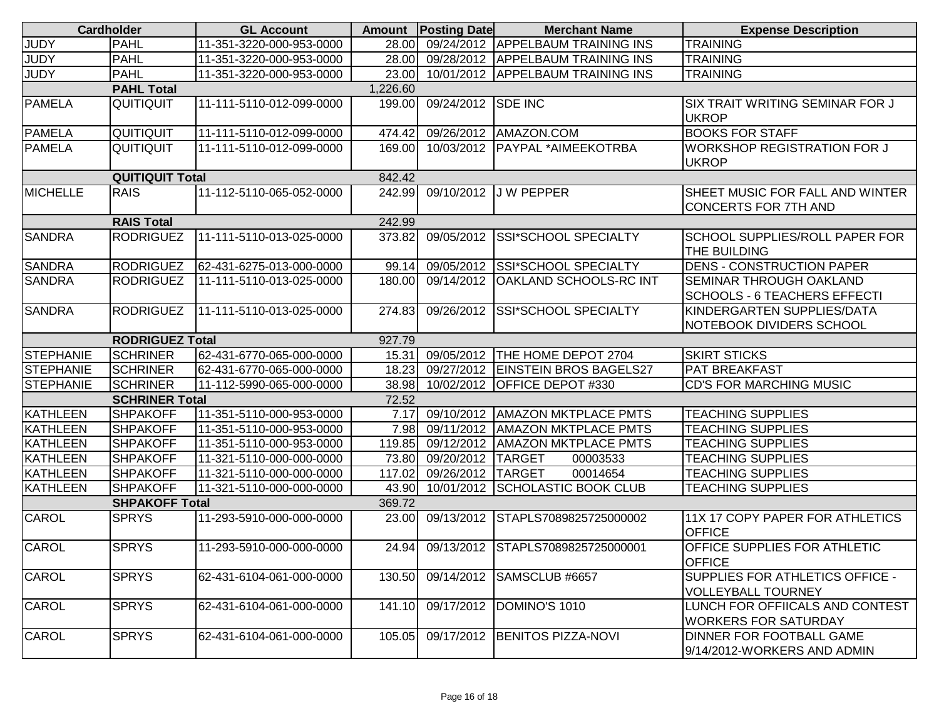|                  | <b>Cardholder</b>      | <b>GL Account</b>        |          | <b>Amount Posting Date</b> | <b>Merchant Name</b>                    | <b>Expense Description</b>                       |
|------------------|------------------------|--------------------------|----------|----------------------------|-----------------------------------------|--------------------------------------------------|
| <b>JUDY</b>      | <b>PAHL</b>            | 11-351-3220-000-953-0000 | 28.00    |                            | 09/24/2012 APPELBAUM TRAINING INS       | <b>TRAINING</b>                                  |
| <b>JUDY</b>      | <b>PAHL</b>            | 11-351-3220-000-953-0000 | 28.00    |                            | 09/28/2012 APPELBAUM TRAINING INS       | <b>TRAINING</b>                                  |
| <b>JUDY</b>      | <b>PAHL</b>            | 11-351-3220-000-953-0000 | 23.00    |                            | 10/01/2012 APPELBAUM TRAINING INS       | <b>TRAINING</b>                                  |
|                  | <b>PAHL Total</b>      |                          | 1,226.60 |                            |                                         |                                                  |
| <b>PAMELA</b>    | QUITIQUIT              | 11-111-5110-012-099-0000 | 199.00   | 09/24/2012                 | <b>SDE INC</b>                          | <b>SIX TRAIT WRITING SEMINAR FOR J</b>           |
|                  |                        |                          |          |                            |                                         | <b>UKROP</b>                                     |
| <b>PAMELA</b>    | QUITIQUIT              | 11-111-5110-012-099-0000 | 474.42   | 09/26/2012                 | AMAZON.COM                              | <b>BOOKS FOR STAFF</b>                           |
| <b>PAMELA</b>    | QUITIQUIT              | 11-111-5110-012-099-0000 | 169.00   |                            | 10/03/2012   PAYPAL *AIMEEKOTRBA        | <b>WORKSHOP REGISTRATION FOR J</b>               |
|                  |                        |                          |          |                            |                                         | <b>UKROP</b>                                     |
|                  | <b>QUITIQUIT Total</b> |                          | 842.42   |                            |                                         |                                                  |
| <b>MICHELLE</b>  | <b>RAIS</b>            | 11-112-5110-065-052-0000 | 242.99   | 09/10/2012                 | <b>JW PEPPER</b>                        | SHEET MUSIC FOR FALL AND WINTER                  |
|                  |                        |                          |          |                            |                                         | CONCERTS FOR 7TH AND                             |
|                  | <b>RAIS Total</b>      |                          | 242.99   |                            |                                         |                                                  |
| <b>SANDRA</b>    | <b>RODRIGUEZ</b>       | 11-111-5110-013-025-0000 | 373.82   | 09/05/2012                 | <b>SSI*SCHOOL SPECIALTY</b>             | <b>SCHOOL SUPPLIES/ROLL PAPER FOR</b>            |
|                  |                        |                          |          |                            |                                         | THE BUILDING                                     |
| <b>SANDRA</b>    | RODRIGUEZ              | 62-431-6275-013-000-0000 | 99.14    | 09/05/2012                 | <b>SSI*SCHOOL SPECIALTY</b>             | <b>DENS - CONSTRUCTION PAPER</b>                 |
| <b>SANDRA</b>    | <b>RODRIGUEZ</b>       | 11-111-5110-013-025-0000 | 180.00   | 09/14/2012                 | <b>OAKLAND SCHOOLS-RC INT</b>           | <b>SEMINAR THROUGH OAKLAND</b>                   |
|                  |                        |                          |          |                            |                                         | <b>SCHOOLS - 6 TEACHERS EFFECTI</b>              |
| <b>SANDRA</b>    | <b>RODRIGUEZ</b>       | 11-111-5110-013-025-0000 | 274.83   | 09/26/2012                 | <b>SSI*SCHOOL SPECIALTY</b>             | KINDERGARTEN SUPPLIES/DATA                       |
|                  |                        |                          |          |                            |                                         | NOTEBOOK DIVIDERS SCHOOL                         |
|                  | <b>RODRIGUEZ Total</b> |                          | 927.79   |                            |                                         |                                                  |
| <b>STEPHANIE</b> | <b>SCHRINER</b>        | 62-431-6770-065-000-0000 | 15.31    | 09/05/2012                 | THE HOME DEPOT 2704                     | <b>SKIRT STICKS</b>                              |
| <b>STEPHANIE</b> | <b>SCHRINER</b>        | 62-431-6770-065-000-0000 | 18.23    |                            | 09/27/2012 EINSTEIN BROS BAGELS27       | <b>PAT BREAKFAST</b>                             |
| <b>STEPHANIE</b> | <b>SCHRINER</b>        | 11-112-5990-065-000-0000 | 38.98    | 10/02/2012                 | <b>OFFICE DEPOT #330</b>                | <b>CD'S FOR MARCHING MUSIC</b>                   |
|                  | <b>SCHRINER Total</b>  |                          | 72.52    |                            |                                         |                                                  |
| <b>KATHLEEN</b>  | <b>SHPAKOFF</b>        | 11-351-5110-000-953-0000 | 7.17     | 09/10/2012                 | <b>AMAZON MKTPLACE PMTS</b>             | <b>TEACHING SUPPLIES</b>                         |
| KATHLEEN         | <b>SHPAKOFF</b>        | 11-351-5110-000-953-0000 | 7.98     |                            | 09/11/2012   AMAZON MKTPLACE PMTS       | <b>TEACHING SUPPLIES</b>                         |
| <b>KATHLEEN</b>  | <b>SHPAKOFF</b>        | 11-351-5110-000-953-0000 | 119.85   | 09/12/2012                 | <b>AMAZON MKTPLACE PMTS</b>             | <b>TEACHING SUPPLIES</b>                         |
| KATHLEEN         | <b>SHPAKOFF</b>        | 11-321-5110-000-000-0000 | 73.80    | 09/20/2012                 | <b>TARGET</b><br>00003533               | <b>TEACHING SUPPLIES</b>                         |
| <b>KATHLEEN</b>  | <b>SHPAKOFF</b>        | 11-321-5110-000-000-0000 | 117.02   | 09/26/2012                 | 00014654<br><b>TARGET</b>               | <b>TEACHING SUPPLIES</b>                         |
| <b>KATHLEEN</b>  | <b>SHPAKOFF</b>        | 11-321-5110-000-000-0000 | 43.90    | 10/01/2012                 | SCHOLASTIC BOOK CLUB                    | <b>TEACHING SUPPLIES</b>                         |
|                  | <b>SHPAKOFF Total</b>  |                          | 369.72   |                            |                                         |                                                  |
| <b>CAROL</b>     | <b>SPRYS</b>           | 11-293-5910-000-000-0000 | 23.00    | 09/13/2012                 | STAPLS7089825725000002                  | 11X 17 COPY PAPER FOR ATHLETICS<br><b>OFFICE</b> |
| <b>CAROL</b>     | <b>SPRYS</b>           | 11-293-5910-000-000-0000 |          |                            | 24.94 09/13/2012 STAPLS7089825725000001 | <b>OFFICE SUPPLIES FOR ATHLETIC</b>              |
|                  |                        |                          |          |                            |                                         | <b>OFFICE</b>                                    |
| <b>CAROL</b>     | <b>SPRYS</b>           | 62-431-6104-061-000-0000 | 130.50   | 09/14/2012                 | SAMSCLUB #6657                          | SUPPLIES FOR ATHLETICS OFFICE -                  |
|                  |                        |                          |          |                            |                                         | <b>VOLLEYBALL TOURNEY</b>                        |
| <b>CAROL</b>     | <b>SPRYS</b>           | 62-431-6104-061-000-0000 | 141.10   |                            | 09/17/2012 DOMINO'S 1010                | LUNCH FOR OFFIICALS AND CONTEST                  |
|                  |                        |                          |          |                            |                                         | <b>WORKERS FOR SATURDAY</b>                      |
| CAROL            | <b>SPRYS</b>           | 62-431-6104-061-000-0000 | 105.05   |                            | 09/17/2012 BENITOS PIZZA-NOVI           | DINNER FOR FOOTBALL GAME                         |
|                  |                        |                          |          |                            |                                         | 9/14/2012-WORKERS AND ADMIN                      |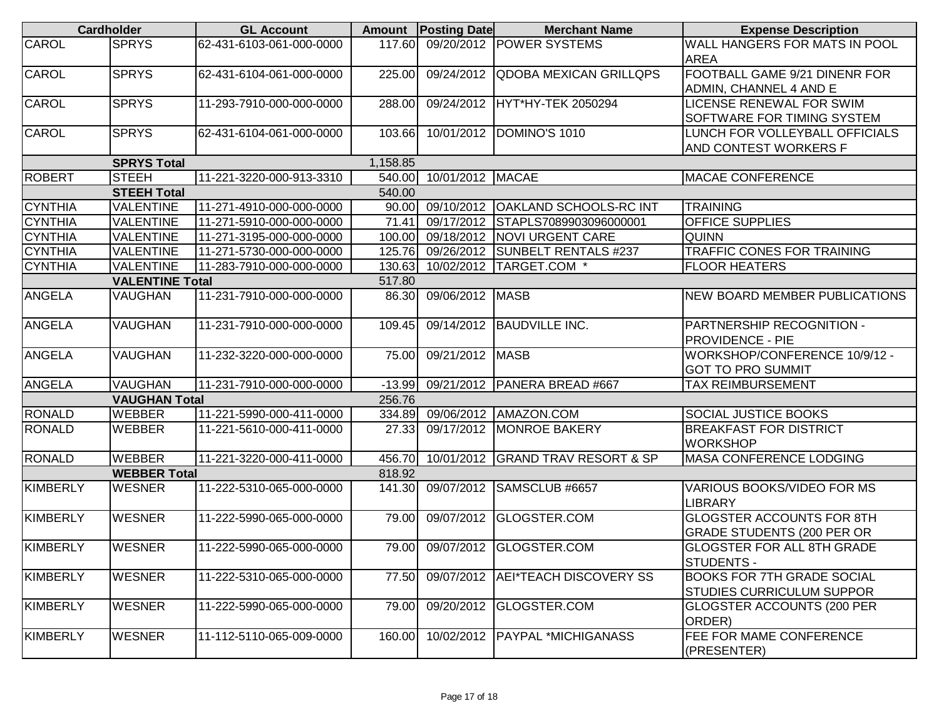|                 | <b>Cardholder</b>      | <b>GL Account</b>        |          | <b>Amount Posting Date</b> | <b>Merchant Name</b>              | <b>Expense Description</b>            |
|-----------------|------------------------|--------------------------|----------|----------------------------|-----------------------------------|---------------------------------------|
| CAROL           | <b>SPRYS</b>           | 62-431-6103-061-000-0000 | 117.60   |                            | 09/20/2012 POWER SYSTEMS          | <b>WALL HANGERS FOR MATS IN POOL</b>  |
|                 |                        |                          |          |                            |                                   | <b>AREA</b>                           |
| CAROL           | <b>SPRYS</b>           | 62-431-6104-061-000-0000 | 225.00   | 09/24/2012                 | <b>QDOBA MEXICAN GRILLQPS</b>     | FOOTBALL GAME 9/21 DINENR FOR         |
|                 |                        |                          |          |                            |                                   | ADMIN, CHANNEL 4 AND E                |
| CAROL           | <b>SPRYS</b>           | 11-293-7910-000-000-0000 | 288.00   |                            | 09/24/2012 HYT*HY-TEK 2050294     | <b>LICENSE RENEWAL FOR SWIM</b>       |
|                 |                        |                          |          |                            |                                   | <b>SOFTWARE FOR TIMING SYSTEM</b>     |
| CAROL           | <b>SPRYS</b>           | 62-431-6104-061-000-0000 | 103.66   | 10/01/2012                 | DOMINO'S 1010                     | LUNCH FOR VOLLEYBALL OFFICIALS        |
|                 |                        |                          |          |                            |                                   | <b>AND CONTEST WORKERS F</b>          |
|                 | <b>SPRYS Total</b>     |                          | 1,158.85 |                            |                                   |                                       |
| <b>ROBERT</b>   | <b>STEEH</b>           | 11-221-3220-000-913-3310 | 540.00   | 10/01/2012 MACAE           |                                   | <b>MACAE CONFERENCE</b>               |
|                 | <b>STEEH Total</b>     |                          | 540.00   |                            |                                   |                                       |
| <b>CYNTHIA</b>  | VALENTINE              | 11-271-4910-000-000-0000 | 90.00    | 09/10/2012                 | <b>OAKLAND SCHOOLS-RC INT</b>     | <b>TRAINING</b>                       |
| <b>CYNTHIA</b>  | <b>VALENTINE</b>       | 11-271-5910-000-000-0000 | 71.41    | 09/17/2012                 | STAPLS7089903096000001            | <b>OFFICE SUPPLIES</b>                |
| <b>CYNTHIA</b>  | <b>VALENTINE</b>       | 11-271-3195-000-000-0000 | 100.00   | 09/18/2012                 | NOVI URGENT CARE                  | <b>QUINN</b>                          |
| <b>CYNTHIA</b>  | <b>VALENTINE</b>       | 11-271-5730-000-000-0000 | 125.76   | 09/26/2012                 | <b>SUNBELT RENTALS #237</b>       | TRAFFIC CONES FOR TRAINING            |
| <b>CYNTHIA</b>  | <b>VALENTINE</b>       | 11-283-7910-000-000-0000 | 130.63   |                            | 10/02/2012 TARGET.COM *           | <b>FLOOR HEATERS</b>                  |
|                 | <b>VALENTINE Total</b> |                          | 517.80   |                            |                                   |                                       |
| <b>ANGELA</b>   | <b>VAUGHAN</b>         | 11-231-7910-000-000-0000 | 86.30    | 09/06/2012 MASB            |                                   | <b>INEW BOARD MEMBER PUBLICATIONS</b> |
|                 |                        |                          |          |                            |                                   |                                       |
| <b>ANGELA</b>   | VAUGHAN                | 11-231-7910-000-000-0000 | 109.45   | 09/14/2012                 | <b>BAUDVILLE INC.</b>             | <b>PARTNERSHIP RECOGNITION -</b>      |
|                 |                        |                          |          |                            |                                   | <b>PROVIDENCE - PIE</b>               |
| <b>ANGELA</b>   | <b>VAUGHAN</b>         | 11-232-3220-000-000-0000 | 75.00    | 09/21/2012                 | <b>MASB</b>                       | WORKSHOP/CONFERENCE 10/9/12 -         |
|                 |                        |                          |          |                            |                                   | <b>GOT TO PRO SUMMIT</b>              |
| <b>ANGELA</b>   | <b>VAUGHAN</b>         | 11-231-7910-000-000-0000 | $-13.99$ |                            | 09/21/2012   PANERA BREAD #667    | <b>TAX REIMBURSEMENT</b>              |
|                 | <b>VAUGHAN Total</b>   |                          | 256.76   |                            |                                   |                                       |
| <b>RONALD</b>   | <b>WEBBER</b>          | 11-221-5990-000-411-0000 | 334.89   |                            | 09/06/2012   AMAZON.COM           | <b>SOCIAL JUSTICE BOOKS</b>           |
| <b>RONALD</b>   | <b>WEBBER</b>          | 11-221-5610-000-411-0000 | 27.33    | 09/17/2012                 | <b>MONROE BAKERY</b>              | <b>BREAKFAST FOR DISTRICT</b>         |
|                 |                        |                          |          |                            |                                   | <b>WORKSHOP</b>                       |
| <b>RONALD</b>   | <b>WEBBER</b>          | 11-221-3220-000-411-0000 | 456.70   |                            | 10/01/2012 GRAND TRAV RESORT & SP | MASA CONFERENCE LODGING               |
|                 | <b>WEBBER Total</b>    |                          | 818.92   |                            |                                   |                                       |
| <b>KIMBERLY</b> | <b>WESNER</b>          | 11-222-5310-065-000-0000 | 141.30   | 09/07/2012                 | SAMSCLUB #6657                    | VARIOUS BOOKS/VIDEO FOR MS            |
|                 |                        |                          |          |                            |                                   | <b>LIBRARY</b>                        |
| <b>KIMBERLY</b> | <b>WESNER</b>          | 11-222-5990-065-000-0000 | 79.00    | 09/07/2012                 | GLOGSTER.COM                      | <b>GLOGSTER ACCOUNTS FOR 8TH</b>      |
|                 |                        |                          |          |                            |                                   | <b>GRADE STUDENTS (200 PER OR</b>     |
| KIMBERLY        | <b>WESNER</b>          | 11-222-5990-065-000-0000 |          |                            | 79.00 09/07/2012 GLOGSTER.COM     | <b>GLOGSTER FOR ALL 8TH GRADE</b>     |
|                 |                        |                          |          |                            |                                   | <b>STUDENTS -</b>                     |
| KIMBERLY        | <b>WESNER</b>          | 11-222-5310-065-000-0000 | 77.50    | 09/07/2012                 | AEI*TEACH DISCOVERY SS            | <b>BOOKS FOR 7TH GRADE SOCIAL</b>     |
|                 |                        |                          |          |                            |                                   | <b>STUDIES CURRICULUM SUPPOR</b>      |
| KIMBERLY        | <b>WESNER</b>          | 11-222-5990-065-000-0000 | 79.00    | 09/20/2012                 | GLOGSTER.COM                      | <b>GLOGSTER ACCOUNTS (200 PER</b>     |
|                 |                        |                          |          |                            |                                   | ORDER)                                |
| <b>KIMBERLY</b> | <b>WESNER</b>          | 11-112-5110-065-009-0000 | 160.00   | 10/02/2012                 | PAYPAL *MICHIGANASS               | FEE FOR MAME CONFERENCE               |
|                 |                        |                          |          |                            |                                   | (PRESENTER)                           |